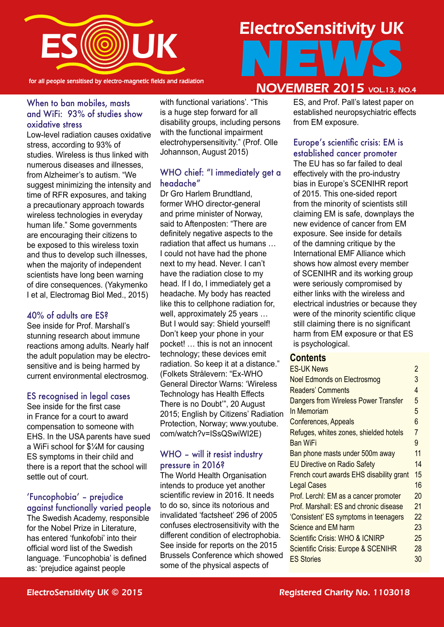

for all people sensitised by electro-magnetic fields and radiation

# ElectroSensitivity UK NEWS **NOVEMBER 2015** VOL.13, NO.4

#### When to ban mobiles, masts and WiFi: 93% of studies show oxidative stress

Low-level radiation causes oxidative stress, according to 93% of studies. Wireless is thus linked with numerous diseases and illnesses, from Alzheimer's to autism. "We suggest minimizing the intensity and time of RFR exposures, and taking a precautionary approach towards wireless technologies in everyday human life." Some governments are encouraging their citizens to be exposed to this wireless toxin and thus to develop such illnesses, when the majority of independent scientists have long been warning of dire consequences. (Yakymenko I et al, Electromag Biol Med., 2015)

#### 40% of adults are ES?

See inside for Prof. Marshall's stunning research about immune reactions among adults. Nearly half the adult population may be electrosensitive and is being harmed by current environmental electrosmog.

#### ES recognised in legal cases

See inside for the first case in France for a court to award compensation to someone with EHS. In the USA parents have sued a WiFi school for \$¼M for causing ES symptoms in their child and there is a report that the school will settle out of court.

## 'Funcophobia' – prejudice

against functionally varied people The Swedish Academy, responsible for the Nobel Prize in Literature, has entered 'funkofobi' into their official word list of the Swedish language. 'Funcophobia' is defined as: 'prejudice against people

with functional variations'. "This is a huge step forward for all disability groups, including persons with the functional impairment electrohypersensitivity." (Prof. Olle Johannson, August 2015)

#### WHO chief: "I immediately get a headache"

Dr Gro Harlem Brundtland, former WHO director-general and prime minister of Norway, said to Aftenposten: "There are definitely negative aspects to the radiation that affect us humans … I could not have had the phone next to my head. Never. I can't have the radiation close to my head. If I do, I immediately get a headache. My body has reacted like this to cellphone radiation for, well, approximately 25 years … But I would say: Shield yourself! Don't keep your phone in your pocket! … this is not an innocent technology; these devices emit radiation. So keep it at a distance." (Folkets Strålevern: "Ex-WHO General Director Warns: 'Wireless Technology has Health Effects There is no Doubt'", 20 August 2015; English by Citizens' Radiation Protection, Norway; www.youtube. com/watch?v=ISsQSwiWI2E)

#### WHO – will it resist industry pressure in 2016?

The World Health Organisation intends to produce yet another scientific review in 2016. It needs to do so, since its notorious and invalidated 'factsheet' 296 of 2005 confuses electrosensitivity with the different condition of electrophobia. See inside for reports on the 2015 Brussels Conference which showed some of the physical aspects of

ES, and Prof. Pall's latest paper on established neuropsychiatric effects from EM exposure.

#### Europe's scientific crisis: EM is established cancer promoter

The EU has so far failed to deal effectively with the pro-industry bias in Europe's SCENIHR report of 2015. This one-sided report from the minority of scientists still claiming EM is safe, downplays the new evidence of cancer from EM exposure. See inside for details of the damning critique by the International EMF Alliance which shows how almost every member of SCENIHR and its working group were seriously compromised by either links with the wireless and electrical industries or because they were of the minority scientific clique still claiming there is no significant harm from EM exposure or that ES is psychological.

#### **Contents**

| <b>ES-UK News</b>                              | 2              |
|------------------------------------------------|----------------|
| <b>Noel Edmonds on Electrosmog</b>             | 3              |
| <b>Readers' Comments</b>                       | 4              |
| Dangers from Wireless Power Transfer           | 5              |
| In Memoriam                                    | 5              |
| <b>Conferences, Appeals</b>                    | 6              |
| Refuges, whites zones, shielded hotels         | $\overline{7}$ |
| <b>Ban WiFi</b>                                | 9              |
| Ban phone masts under 500m away                | 11             |
| <b>EU Directive on Radio Safety</b>            | 14             |
| French court awards EHS disability grant       | 15             |
| <b>Legal Cases</b>                             | 16             |
| Prof. Lerchl: EM as a cancer promoter          | 20             |
| Prof. Marshall: ES and chronic disease         | 21             |
| 'Consistent' ES symptoms in teenagers          | 22             |
| Science and EM harm                            | 23             |
| <b>Scientific Crisis: WHO &amp; ICNIRP</b>     | 25             |
| <b>Scientific Crisis: Europe &amp; SCENIHR</b> | 28             |
| <b>ES Stories</b>                              | 30             |
|                                                |                |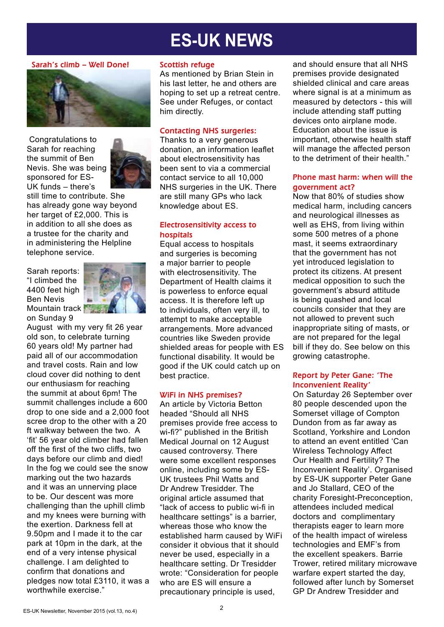# **ES-UK NEWS**

#### Sarah's climb – Well Done!



 Congratulations to Sarah for reaching the summit of Ben Nevis. She was being sponsored for ES-UK funds – there's



still time to contribute. She has already gone way beyond her target of £2,000. This is in addition to all she does as a trustee for the charity and in administering the Helpline telephone service.

Sarah reports: "I climbed the 4400 feet high Ben Nevis Mountain track on Sunday 9



August with my very fit 26 year old son, to celebrate turning 60 years old! My partner had paid all of our accommodation and travel costs. Rain and low cloud cover did nothing to dent our enthusiasm for reaching the summit at about 6pm! The summit challenges include a 600 drop to one side and a 2,000 foot scree drop to the other with a 20 ft walkway between the two. A 'fit' 56 year old climber had fallen off the first of the two cliffs, two days before our climb and died! In the fog we could see the snow marking out the two hazards and it was an unnerving place to be. Our descent was more challenging than the uphill climb and my knees were burning with the exertion. Darkness fell at 9.50pm and I made it to the car park at 10pm in the dark, at the end of a very intense physical challenge. I am delighted to confirm that donations and pledges now total £3110, it was a worthwhile exercise."

#### Scottish refuge

As mentioned by Brian Stein in his last letter, he and others are hoping to set up a retreat centre. See under Refuges, or contact him directly.

#### Contacting NHS surgeries:

Thanks to a very generous donation, an information leaflet about electrosensitivity has been sent to via a commercial contact service to all 10,000 NHS surgeries in the UK. There are still many GPs who lack knowledge about ES.

#### Electrosensitivity access to hospitals

Equal access to hospitals and surgeries is becoming a major barrier to people with electrosensitivity. The Department of Health claims it is powerless to enforce equal access. It is therefore left up to individuals, often very ill, to attempt to make acceptable arrangements. More advanced countries like Sweden provide shielded areas for people with ES functional disability. It would be good if the UK could catch up on best practice.

#### WiFi in NHS premises?

An article by Victoria Betton headed "Should all NHS premises provide free access to wi-fi?" published in the British Medical Journal on 12 August caused controversy. There were some excellent responses online, including some by ES-UK trustees Phil Watts and Dr Andrew Tresidder. The original article assumed that "lack of access to public wi-fi in healthcare settings" is a barrier, whereas those who know the established harm caused by WiFi consider it obvious that it should never be used, especially in a healthcare setting. Dr Tresidder wrote: "Consideration for people who are ES will ensure a precautionary principle is used,

and should ensure that all NHS premises provide designated shielded clinical and care areas where signal is at a minimum as measured by detectors - this will include attending staff putting devices onto airplane mode. Education about the issue is important, otherwise health staff will manage the affected person to the detriment of their health."

#### Phone mast harm: when will the government act?

Now that 80% of studies show medical harm, including cancers and neurological illnesses as well as EHS, from living within some 500 metres of a phone mast, it seems extraordinary that the government has not yet introduced legislation to protect its citizens. At present medical opposition to such the government's absurd attitude is being quashed and local councils consider that they are not allowed to prevent such inappropriate siting of masts, or are not prepared for the legal bill if they do. See below on this growing catastrophe.

#### Report by Peter Gane: 'The Inconvenient Reality'

On Saturday 26 September over 80 people descended upon the Somerset village of Compton Dundon from as far away as Scotland, Yorkshire and London to attend an event entitled 'Can Wireless Technology Affect Our Health and Fertility? The Inconvenient Reality'. Organised by ES-UK supporter Peter Gane and Jo Stallard, CEO of the charity Foresight-Preconception, attendees included medical doctors and complimentary therapists eager to learn more of the health impact of wireless technologies and EMF's from the excellent speakers. Barrie Trower, retired military microwave warfare expert started the day, followed after lunch by Somerset GP Dr Andrew Tresidder and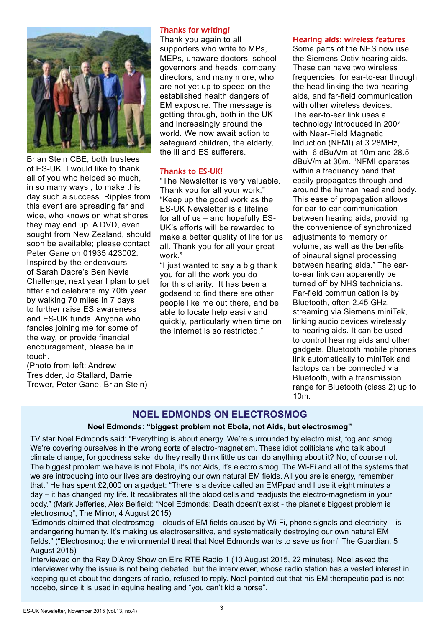

Brian Stein CBE, both trustees of ES-UK. I would like to thank all of you who helped so much, in so many ways , to make this day such a success. Ripples from this event are spreading far and wide, who knows on what shores they may end up. A DVD, even sought from New Zealand, should soon be available; please contact Peter Gane on 01935 423002. Inspired by the endeavours of Sarah Dacre's Ben Nevis Challenge, next year I plan to get fitter and celebrate my 70th year by walking 70 miles in 7 days to further raise ES awareness and ES-UK funds. Anyone who fancies joining me for some of the way, or provide financial encouragement, please be in touch.

(Photo from left: Andrew Tresidder, Jo Stallard, Barrie Trower, Peter Gane, Brian Stein)

#### Thanks for writing!

Thank you again to all supporters who write to MPs, MEPs, unaware doctors, school governors and heads, company directors, and many more, who are not yet up to speed on the established health dangers of EM exposure. The message is getting through, both in the UK and increasingly around the world. We now await action to safeguard children, the elderly, the ill and ES sufferers.

#### Thanks to ES-UK!

"The Newsletter is very valuable. Thank you for all your work." "Keep up the good work as the ES-UK Newsletter is a lifeline for all of us – and hopefully ES-UK's efforts will be rewarded to make a better quality of life for us all. Thank you for all your great work."

"I just wanted to say a big thank you for all the work you do for this charity. It has been a godsend to find there are other people like me out there, and be able to locate help easily and quickly, particularly when time on the internet is so restricted."

#### Hearing aids: wireless features

Some parts of the NHS now use the Siemens Octiv hearing aids. These can have two wireless frequencies, for ear-to-ear through the head linking the two hearing aids, and far-field communication with other wireless devices. The ear-to-ear link uses a technology introduced in 2004 with Near-Field Magnetic Induction (NFMI) at 3.28MHz, with -6 dBuA/m at 10m and 28.5 dBuV/m at 30m. "NFMI operates within a frequency band that easily propagates through and around the human head and body. This ease of propagation allows for ear-to-ear communication between hearing aids, providing the convenience of synchronized adjustments to memory or volume, as well as the benefits of binaural signal processing between hearing aids." The earto-ear link can apparently be turned off by NHS technicians. Far-field communication is by Bluetooth, often 2.45 GHz, streaming via Siemens miniTek, linking audio devices wirelessly to hearing aids. It can be used to control hearing aids and other gadgets. Bluetooth mobile phones link automatically to miniTek and laptops can be connected via Bluetooth, with a transmission range for Bluetooth (class 2) up to 10m.

#### **NOEL EDMONDS ON ELECTROSMOG**

#### **Noel Edmonds: "biggest problem not Ebola, not Aids, but electrosmog"**

TV star Noel Edmonds said: "Everything is about energy. We're surrounded by electro mist, fog and smog. We're covering ourselves in the wrong sorts of electro-magnetism. These idiot politicians who talk about climate change, for goodness sake, do they really think little us can do anything about it? No, of course not. The biggest problem we have is not Ebola, it's not Aids, it's electro smog. The Wi-Fi and all of the systems that we are introducing into our lives are destroying our own natural EM fields. All you are is energy, remember that." He has spent £2,000 on a gadget: "There is a device called an EMPpad and I use it eight minutes a day – it has changed my life. It recalibrates all the blood cells and readjusts the electro-magnetism in your body." (Mark Jefferies, Alex Belfield: "Noel Edmonds: Death doesn't exist - the planet's biggest problem is electrosmog", The Mirror, 4 August 2015)

"Edmonds claimed that electrosmog – clouds of EM fields caused by Wi-Fi, phone signals and electricity – is endangering humanity. It's making us electrosensitive, and systematically destroying our own natural EM fields." ("Electrosmog: the environmental threat that Noel Edmonds wants to save us from" The Guardian, 5 August 2015)

Interviewed on the Ray D'Arcy Show on Eire RTE Radio 1 (10 August 2015, 22 minutes), Noel asked the interviewer why the issue is not being debated, but the interviewer, whose radio station has a vested interest in keeping quiet about the dangers of radio, refused to reply. Noel pointed out that his EM therapeutic pad is not nocebo, since it is used in equine healing and "you can't kid a horse".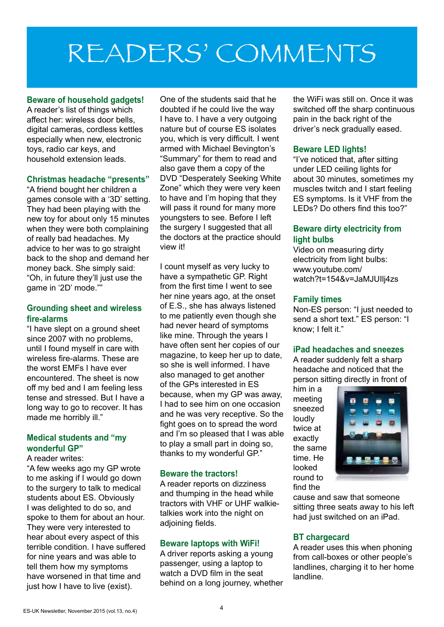# READERS' COMMENTS

#### **Beware of household gadgets!**

A reader's list of things which affect her: wireless door bells, digital cameras, cordless kettles especially when new, electronic toys, radio car keys, and household extension leads.

#### **Christmas headache "presents"**

"A friend bought her children a games console with a '3D' setting. They had been playing with the new toy for about only 15 minutes when they were both complaining of really bad headaches. My advice to her was to go straight back to the shop and demand her money back. She simply said: "Oh, in future they'll just use the game in '2D' mode.""

#### **Grounding sheet and wireless fire-alarms**

"I have slept on a ground sheet since 2007 with no problems, until I found myself in care with wireless fire-alarms. These are the worst EMFs I have ever encountered. The sheet is now off my bed and I am feeling less tense and stressed. But I have a long way to go to recover. It has made me horribly ill."

#### **Medical students and "my wonderful GP"**

#### A reader writes:

"A few weeks ago my GP wrote to me asking if I would go down to the surgery to talk to medical students about ES. Obviously I was delighted to do so, and spoke to them for about an hour. They were very interested to hear about every aspect of this terrible condition. I have suffered for nine years and was able to tell them how my symptoms have worsened in that time and just how I have to live (exist).

One of the students said that he doubted if he could live the way I have to. I have a very outgoing nature but of course ES isolates you, which is very difficult. I went armed with Michael Bevington's "Summary" for them to read and also gave them a copy of the DVD "Desperately Seeking White Zone" which they were very keen to have and I'm hoping that they will pass it round for many more youngsters to see. Before I left the surgery I suggested that all the doctors at the practice should view it!

I count myself as very lucky to have a sympathetic GP. Right from the first time I went to see her nine years ago, at the onset of E.S., she has always listened to me patiently even though she had never heard of symptoms like mine. Through the years I have often sent her copies of our magazine, to keep her up to date, so she is well informed. I have also managed to get another of the GPs interested in ES because, when my GP was away, I had to see him on one occasion and he was very receptive. So the fight goes on to spread the word and I'm so pleased that I was able to play a small part in doing so, thanks to my wonderful GP."

#### **Beware the tractors!**

A reader reports on dizziness and thumping in the head while tractors with VHF or UHF walkietalkies work into the night on adjoining fields.

#### **Beware laptops with WiFi!**

A driver reports asking a young passenger, using a laptop to watch a DVD film in the seat behind on a long journey, whether the WiFi was still on. Once it was switched off the sharp continuous pain in the back right of the driver's neck gradually eased.

#### **Beware LED lights!**

"I've noticed that, after sitting under LED ceiling lights for about 30 minutes, sometimes my muscles twitch and I start feeling ES symptoms. Is it VHF from the LEDs? Do others find this too?"

#### **Beware dirty electricity from light bulbs**

Video on measuring dirty electricity from light bulbs: www.youtube.com/ watch?t=154&v=JaMJUIlj4zs

#### **Family times**

Non-ES person: "I just needed to send a short text." ES person: "I know; I felt it."

#### **iPad headaches and sneezes**

A reader suddenly felt a sharp headache and noticed that the person sitting directly in front of

him in a meeting sneezed loudly twice at exactly the same time. He looked round to find the



cause and saw that someone sitting three seats away to his left had just switched on an iPad.

#### **BT chargecard**

A reader uses this when phoning from call-boxes or other people's landlines, charging it to her home landline.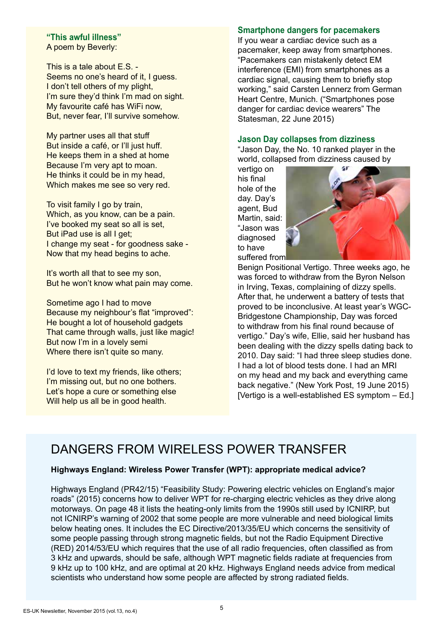#### **"This awful illness"** A poem by Beverly:

This is a tale about E.S. - Seems no one's heard of it, I guess. I don't tell others of my plight, I'm sure they'd think I'm mad on sight. My favourite café has WiFi now, But, never fear, I'll survive somehow.

My partner uses all that stuff But inside a café, or I'll just huff. He keeps them in a shed at home Because I'm very apt to moan. He thinks it could be in my head, Which makes me see so very red.

To visit family I go by train. Which, as you know, can be a pain. I've booked my seat so all is set, But iPad use is all I get: I change my seat - for goodness sake - Now that my head begins to ache.

It's worth all that to see my son, But he won't know what pain may come.

Sometime ago I had to move Because my neighbour's flat "improved": He bought a lot of household gadgets That came through walls, just like magic! But now I'm in a lovely semi Where there isn't quite so many.

I'd love to text my friends, like others: I'm missing out, but no one bothers. Let's hope a cure or something else Will help us all be in good health.

#### **Smartphone dangers for pacemakers**

If you wear a cardiac device such as a pacemaker, keep away from smartphones. "Pacemakers can mistakenly detect EM interference (EMI) from smartphones as a cardiac signal, causing them to briefly stop working," said Carsten Lennerz from German Heart Centre, Munich. ("Smartphones pose danger for cardiac device wearers" The Statesman, 22 June 2015)

#### **Jason Day collapses from dizziness**

"Jason Day, the No. 10 ranked player in the world, collapsed from dizziness caused by

vertigo on his final hole of the day. Day's agent, Bud Martin, said: "Jason was diagnosed to have suffered from



Benign Positional Vertigo. Three weeks ago, he was forced to withdraw from the Byron Nelson in Irving, Texas, complaining of dizzy spells. After that, he underwent a battery of tests that proved to be inconclusive. At least year's WGC-Bridgestone Championship, Day was forced to withdraw from his final round because of vertigo." Day's wife, Ellie, said her husband has been dealing with the dizzy spells dating back to 2010. Day said: "I had three sleep studies done. I had a lot of blood tests done. I had an MRI on my head and my back and everything came back negative." (New York Post, 19 June 2015) [Vertigo is a well-established ES symptom – Ed.]

# DANGERS FROM WIRELESS POWER TRANSFER

#### **Highways England: Wireless Power Transfer (WPT): appropriate medical advice?**

Highways England (PR42/15) "Feasibility Study: Powering electric vehicles on England's major roads" (2015) concerns how to deliver WPT for re-charging electric vehicles as they drive along motorways. On page 48 it lists the heating-only limits from the 1990s still used by ICNIRP, but not ICNIRP's warning of 2002 that some people are more vulnerable and need biological limits below heating ones. It includes the EC Directive/2013/35/EU which concerns the sensitivity of some people passing through strong magnetic fields, but not the Radio Equipment Directive (RED) 2014/53/EU which requires that the use of all radio frequencies, often classified as from 3 kHz and upwards, should be safe, although WPT magnetic fields radiate at frequencies from 9 kHz up to 100 kHz, and are optimal at 20 kHz. Highways England needs advice from medical scientists who understand how some people are affected by strong radiated fields.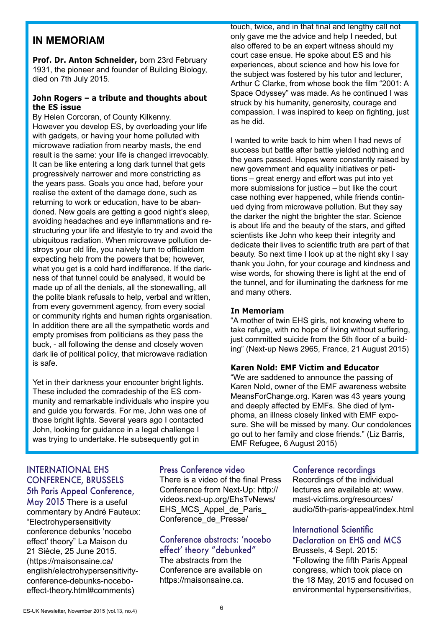#### **IN MEMORIAM**

**Prof. Dr. Anton Schneider,** born 23rd February 1931, the pioneer and founder of Building Biology, died on 7th July 2015.

#### **John Rogers – a tribute and thoughts about the ES issue**

By Helen Corcoran, of County Kilkenny. However you develop ES, by overloading your life with gadgets, or having your home polluted with microwave radiation from nearby masts, the end result is the same: your life is changed irrevocably. It can be like entering a long dark tunnel that gets progressively narrower and more constricting as the years pass. Goals you once had, before your realise the extent of the damage done, such as returning to work or education, have to be abandoned. New goals are getting a good night's sleep, avoiding headaches and eye inflammations and restructuring your life and lifestyle to try and avoid the ubiquitous radiation. When microwave pollution destroys your old life, you naively turn to officialdom expecting help from the powers that be; however, what you get is a cold hard indifference. If the darkness of that tunnel could be analysed, it would be made up of all the denials, all the stonewalling, all the polite blank refusals to help, verbal and written, from every government agency, from every social or community rights and human rights organisation. In addition there are all the sympathetic words and empty promises from politicians as they pass the buck, - all following the dense and closely woven dark lie of political policy, that microwave radiation is safe.

Yet in their darkness your encounter bright lights. These included the comradeship of the ES community and remarkable individuals who inspire you and guide you forwards. For me, John was one of those bright lights. Several years ago I contacted John, looking for guidance in a legal challenge I was trying to undertake. He subsequently got in

touch, twice, and in that final and lengthy call not only gave me the advice and help I needed, but also offered to be an expert witness should my court case ensue. He spoke about ES and his experiences, about science and how his love for the subject was fostered by his tutor and lecturer, Arthur C Clarke, from whose book the film "2001: A Space Odyssey" was made. As he continued I was struck by his humanity, generosity, courage and compassion. I was inspired to keep on fighting, just as he did.

I wanted to write back to him when I had news of success but battle after battle yielded nothing and the years passed. Hopes were constantly raised by new government and equality initiatives or petitions – great energy and effort was put into yet more submissions for justice – but like the court case nothing ever happened, while friends continued dying from microwave pollution. But they say the darker the night the brighter the star. Science is about life and the beauty of the stars, and gifted scientists like John who keep their integrity and dedicate their lives to scientific truth are part of that beauty. So next time I look up at the night sky I say thank you John, for your courage and kindness and wise words, for showing there is light at the end of the tunnel, and for illuminating the darkness for me and many others.

#### **In Memoriam**

"A mother of twin EHS girls, not knowing where to take refuge, with no hope of living without suffering, just committed suicide from the 5th floor of a building" (Next-up News 2965, France, 21 August 2015)

#### **Karen Nold: EMF Victim and Educator**

"We are saddened to announce the passing of Karen Nold, owner of the EMF awareness website MeansForChange.org. Karen was 43 years young and deeply affected by EMFs. She died of lymphoma, an illness closely linked with EMF exposure. She will be missed by many. Our condolences go out to her family and close friends." (Liz Barris, EMF Refugee, 6 August 2015)

#### INTERNATIONAL EHS CONFERENCE, BRUSSELS 5th Paris Appeal Conference,

May 2015 There is a useful commentary by André Fauteux: "Electrohypersensitivity conference debunks 'nocebo effect' theory" La Maison du 21 Siècle, 25 June 2015. (https://maisonsaine.ca/ english/electrohypersensitivityconference-debunks-noceboeffect-theory.html#comments)

#### Press Conference video

There is a video of the final Press Conference from Next-Up: http:// videos.next-up.org/EhsTvNews/ EHS\_MCS\_Appel\_de\_Paris Conference\_de\_Presse/

### Conference abstracts: 'nocebo effect' theory "debunked"

The abstracts from the Conference are available on https://maisonsaine.ca.

#### Conference recordings

Recordings of the individual lectures are available at: www. mast-victims.org/resources/ audio/5th-paris-appeal/index.html

#### International Scientific Declaration on EHS and MCS

Brussels, 4 Sept. 2015: "Following the fifth Paris Appeal congress, which took place on the 18 May, 2015 and focused on environmental hypersensitivities,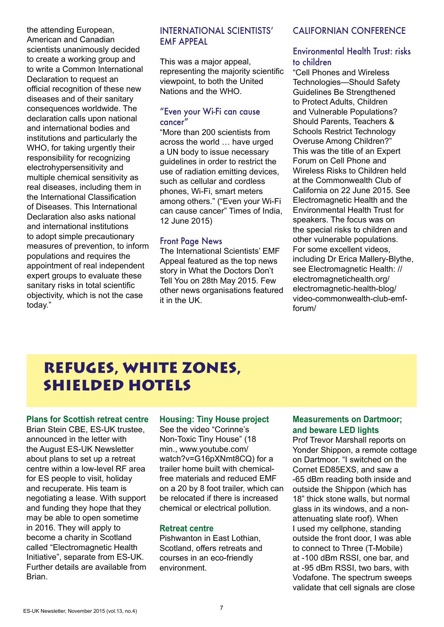the attending European, American and Canadian scientists unanimously decided to create a working group and to write a Common International Declaration to request an official recognition of these new diseases and of their sanitary consequences worldwide. The declaration calls upon national and international bodies and institutions and particularly the WHO, for taking urgently their responsibility for recognizing electrohypersensitivity and multiple chemical sensitivity as real diseases, including them in the International Classification of Diseases. This International Declaration also asks national and international institutions to adopt simple precautionary measures of prevention, to inform populations and requires the appointment of real independent expert groups to evaluate these sanitary risks in total scientific objectivity, which is not the case today."

#### INTERNATIONAL SCIENTISTS' EMF APPEAL

This was a major appeal, representing the majority scientific viewpoint, to both the United Nations and the WHO.

#### "Even your Wi-Fi can cause cancer"

"More than 200 scientists from across the world … have urged a UN body to issue necessary guidelines in order to restrict the use of radiation emitting devices, such as cellular and cordless phones, Wi-Fi, smart meters among others." ("Even your Wi-Fi can cause cancer" Times of India, 12 June 2015)

#### Front Page News

The International Scientists' EMF Appeal featured as the top news story in What the Doctors Don't Tell You on 28th May 2015. Few other news organisations featured it in the UK.

#### CALIFORNIAN CONFERENCE

#### Environmental Health Trust: risks to children

"Cell Phones and Wireless Technologies—Should Safety Guidelines Be Strengthened to Protect Adults, Children and Vulnerable Populations? Should Parents, Teachers & Schools Restrict Technology Overuse Among Children?" This was the title of an Expert Forum on Cell Phone and Wireless Risks to Children held at the Commonwealth Club of California on 22 June 2015. See Electromagnetic Health and the Environmental Health Trust for speakers. The focus was on the special risks to children and other vulnerable populations. For some excellent videos, including Dr Erica Mallery-Blythe, see Electromagnetic Health: // electromagnetichealth.org/ electromagnetic-health-blog/ video-commonwealth-club-emfforum/

# REFUGES, WHITE ZONES, SHIELDED HOTELS

#### **Plans for Scottish retreat centre**

Brian Stein CBE, ES-UK trustee, announced in the letter with the August ES-UK Newsletter about plans to set up a retreat centre within a low-level RF area for ES people to visit, holiday and recuperate. His team is negotiating a lease. With support and funding they hope that they may be able to open sometime in 2016. They will apply to become a charity in Scotland called "Electromagnetic Health Initiative", separate from ES-UK. Further details are available from Brian.

#### **Housing: Tiny House project**

See the video "Corinne's Non-Toxic Tiny House" (18 min., www.youtube.com/ watch?v=G16pXNmt8CQ) for a trailer home built with chemicalfree materials and reduced EMF on a 20 by 8 foot trailer, which can be relocated if there is increased chemical or electrical pollution.

#### **Retreat centre**

Pishwanton in East Lothian, Scotland, offers retreats and courses in an eco-friendly environment.

#### **Measurements on Dartmoor; and beware LED lights**

Prof Trevor Marshall reports on Yonder Shippon, a remote cottage on Dartmoor. "I switched on the Cornet ED85EXS, and saw a -65 dBm reading both inside and outside the Shippon (which has 18" thick stone walls, but normal glass in its windows, and a nonattenuating slate roof). When I used my cellphone, standing outside the front door, I was able to connect to Three (T-Mobile) at -100 dBm RSSI, one bar, and at -95 dBm RSSI, two bars, with Vodafone. The spectrum sweeps validate that cell signals are close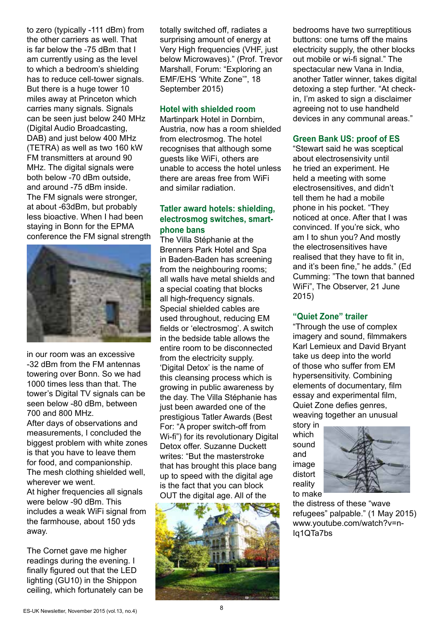to zero (typically -111 dBm) from the other carriers as well. That is far below the -75 dBm that I am currently using as the level to which a bedroom's shielding has to reduce cell-tower signals. But there is a huge tower 10 miles away at Princeton which carries many signals. Signals can be seen just below 240 MHz (Digital Audio Broadcasting, DAB) and just below 400 MHz (TETRA) as well as two 160 kW FM transmitters at around 90 MHz. The digital signals were both below -70 dBm outside, and around -75 dBm inside. The FM signals were stronger, at about -63dBm, but probably less bioactive. When I had been staying in Bonn for the EPMA conference the FM signal strength



in our room was an excessive -32 dBm from the FM antennas towering over Bonn. So we had 1000 times less than that. The tower's Digital TV signals can be seen below -80 dBm, between 700 and 800 MHz.

After days of observations and measurements, I concluded the biggest problem with white zones is that you have to leave them for food, and companionship. The mesh clothing shielded well, wherever we went. At higher frequencies all signals were below -90 dBm. This includes a weak WiFi signal from the farmhouse, about 150 yds away.

The Cornet gave me higher readings during the evening. I finally figured out that the LED lighting (GU10) in the Shippon ceiling, which fortunately can be totally switched off, radiates a surprising amount of energy at Very High frequencies (VHF, just below Microwaves)." (Prof. Trevor Marshall, Forum: "Exploring an EMF/EHS 'White Zone'", 18 September 2015)

#### **Hotel with shielded room**

Martinpark Hotel in Dornbirn, Austria, now has a room shielded from electrosmog. The hotel recognises that although some guests like WiFi, others are unable to access the hotel unless there are areas free from WiFi and similar radiation.

#### **Tatler award hotels: shielding, electrosmog switches, smartphone bans**

The Villa Stéphanie at the Brenners Park Hotel and Spa in Baden-Baden has screening from the neighbouring rooms; all walls have metal shields and a special coating that blocks all high-frequency signals. Special shielded cables are used throughout, reducing EM fields or 'electrosmog'. A switch in the bedside table allows the entire room to be disconnected from the electricity supply. 'Digital Detox' is the name of this cleansing process which is growing in public awareness by the day. The Villa Stéphanie has just been awarded one of the prestigious Tatler Awards (Best For: "A proper switch-off from Wi-fi") for its revolutionary Digital Detox offer. Suzanne Duckett writes: "But the masterstroke that has brought this place bang up to speed with the digital age is the fact that you can block OUT the digital age. All of the



bedrooms have two surreptitious buttons: one turns off the mains electricity supply, the other blocks out mobile or wi-fi signal." The spectacular new Vana in India, another Tatler winner, takes digital detoxing a step further. "At checkin, I'm asked to sign a disclaimer agreeing not to use handheld devices in any communal areas."

#### **Green Bank US: proof of ES**

"Stewart said he was sceptical about electrosensivity until he tried an experiment. He held a meeting with some electrosensitives, and didn't tell them he had a mobile phone in his pocket. "They noticed at once. After that I was convinced. If you're sick, who am I to shun you? And mostly the electrosensitives have realised that they have to fit in, and it's been fine," he adds." (Ed Cumming: "The town that banned WiFi", The Observer, 21 June 2015)

#### **"Quiet Zone" trailer**

"Through the use of complex imagery and sound, filmmakers Karl Lemieux and David Bryant take us deep into the world of those who suffer from EM hypersensitivity. Combining elements of documentary, film essay and experimental film, Quiet Zone defies genres, weaving together an unusual

story in which sound and image distort reality to make



the distress of these "wave refugees" palpable." (1 May 2015) www.youtube.com/watch?v=n-Iq1QTa7bs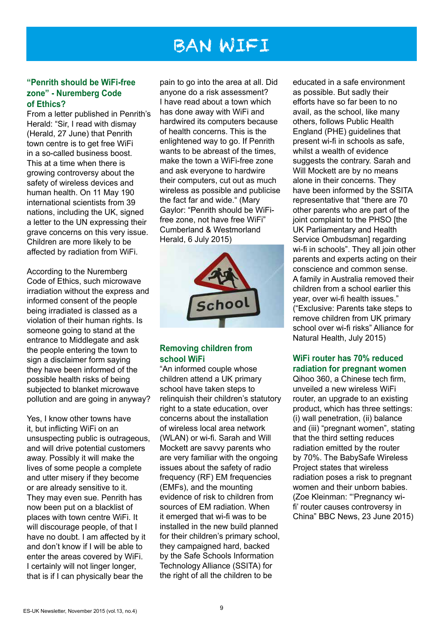# BAN WIFI

#### **"Penrith should be WiFi-free zone" - Nuremberg Code of Ethics?**

From a letter published in Penrith's Herald: "Sir, I read with dismay (Herald, 27 June) that Penrith town centre is to get free WiFi in a so-called business boost. This at a time when there is growing controversy about the safety of wireless devices and human health. On 11 May 190 international scientists from 39 nations, including the UK, signed a letter to the UN expressing their grave concerns on this very issue. Children are more likely to be affected by radiation from WiFi.

According to the Nuremberg Code of Ethics, such microwave irradiation without the express and informed consent of the people being irradiated is classed as a violation of their human rights. Is someone going to stand at the entrance to Middlegate and ask the people entering the town to sign a disclaimer form saying they have been informed of the possible health risks of being subjected to blanket microwave pollution and are going in anyway?

Yes, I know other towns have it, but inflicting WiFi on an unsuspecting public is outrageous, and will drive potential customers away. Possibly it will make the lives of some people a complete and utter misery if they become or are already sensitive to it. They may even sue. Penrith has now been put on a blacklist of places with town centre WiFi. It will discourage people, of that I have no doubt. I am affected by it and don't know if I will be able to enter the areas covered by WiFi. I certainly will not linger longer, that is if I can physically bear the

pain to go into the area at all. Did anyone do a risk assessment? I have read about a town which has done away with WiFi and hardwired its computers because of health concerns. This is the enlightened way to go. If Penrith wants to be abreast of the times, make the town a WiFi-free zone and ask everyone to hardwire their computers, cut out as much wireless as possible and publicise the fact far and wide." (Mary Gaylor: "Penrith should be WiFifree zone, not have free WiFi" Cumberland & Westmorland Herald, 6 July 2015)



#### **Removing children from school WiFi**

"An informed couple whose children attend a UK primary school have taken steps to relinquish their children's statutory right to a state education, over concerns about the installation of wireless local area network (WLAN) or wi-fi. Sarah and Will Mockett are savvy parents who are very familiar with the ongoing issues about the safety of radio frequency (RF) EM frequencies (EMFs), and the mounting evidence of risk to children from sources of EM radiation. When it emerged that wi-fi was to be installed in the new build planned for their children's primary school, they campaigned hard, backed by the Safe Schools Information Technology Alliance (SSITA) for the right of all the children to be

educated in a safe environment as possible. But sadly their efforts have so far been to no avail, as the school, like many others, follows Public Health England (PHE) guidelines that present wi-fi in schools as safe, whilst a wealth of evidence suggests the contrary. Sarah and Will Mockett are by no means alone in their concerns. They have been informed by the SSITA representative that "there are 70 other parents who are part of the joint complaint to the PHSO [the UK Parliamentary and Health Service Ombudsman] regarding wi-fi in schools". They all join other parents and experts acting on their conscience and common sense. A family in Australia removed their children from a school earlier this year, over wi-fi health issues." ("Exclusive: Parents take steps to remove children from UK primary school over wi-fi risks" Alliance for Natural Health, July 2015)

#### **WiFi router has 70% reduced radiation for pregnant women**

Qihoo 360, a Chinese tech firm, unveiled a new wireless WiFi router, an upgrade to an existing product, which has three settings: (i) wall penetration, (ii) balance and (iii) "pregnant women", stating that the third setting reduces radiation emitted by the router by 70%. The BabySafe Wireless Project states that wireless radiation poses a risk to pregnant women and their unborn babies. (Zoe Kleinman: "'Pregnancy wifi' router causes controversy in China" BBC News, 23 June 2015)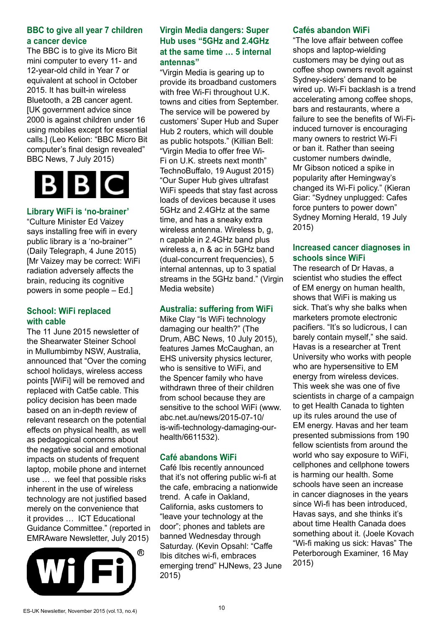#### **BBC to give all year 7 children a cancer device**

The BBC is to give its Micro Bit mini computer to every 11- and 12-year-old child in Year 7 or equivalent at school in October 2015. It has built-in wireless Bluetooth, a 2B cancer agent. [UK government advice since 2000 is against children under 16 using mobiles except for essential calls.] (Leo Kelion: "BBC Micro Bit computer's final design revealed" BBC News, 7 July 2015)



#### **Library WiFi is 'no-brainer'**

"Culture Minister Ed Vaizey says installing free wifi in every public library is a 'no-brainer'" (Daily Telegraph, 4 June 2015) [Mr Vaizey may be correct: WiFi radiation adversely affects the brain, reducing its cognitive powers in some people – Ed.]

#### **School: WiFi replaced with cable**

The 11 June 2015 newsletter of the Shearwater Steiner School in Mullumbimby NSW, Australia, announced that "Over the coming school holidays, wireless access points [WiFi] will be removed and replaced with Cat5e cable. This policy decision has been made based on an in-depth review of relevant research on the potential effects on physical health, as well as pedagogical concerns about the negative social and emotional impacts on students of frequent laptop, mobile phone and internet use … we feel that possible risks inherent in the use of wireless technology are not justified based merely on the convenience that it provides … ICT Educational Guidance Committee." (reported in EMRAware Newsletter, July 2015)



#### **Virgin Media dangers: Super Hub uses "5GHz and 2.4GHz at the same time … 5 internal antennas"**

"Virgin Media is gearing up to provide its broadband customers with free Wi-Fi throughout U.K. towns and cities from September. The service will be powered by customers' Super Hub and Super Hub 2 routers, which will double as public hotspots." (Killian Bell: "Virgin Media to offer free Wi-Fi on U.K. streets next month" TechnoBuffalo, 19 August 2015) "Our Super Hub gives ultrafast WiFi speeds that stay fast across loads of devices because it uses 5GHz and 2.4GHz at the same time, and has a sneaky extra wireless antenna. Wireless b, g, n capable in 2.4GHz band plus wireless a, n & ac in 5GHz band (dual-concurrent frequencies), 5 internal antennas, up to 3 spatial streams in the 5GHz band." (Virgin Media website)

#### **Australia: suffering from WiFi**

Mike Clay "Is WiFi technology damaging our health?" (The Drum, ABC News, 10 July 2015), features James McCaughan, an EHS university physics lecturer, who is sensitive to WiFi, and the Spencer family who have withdrawn three of their children from school because they are sensitive to the school WiFi (www. abc.net.au/news/2015-07-10/ is-wifi-technology-damaging-ourhealth/6611532).

#### **Café abandons WiFi**

Café Ibis recently announced that it's not offering public wi-fi at the cafe, embracing a nationwide trend. A cafe in Oakland, California, asks customers to "leave your technology at the door"; phones and tablets are banned Wednesday through Saturday. (Kevin Opsahl: "Caffe Ibis ditches wi-fi, embraces emerging trend" HJNews, 23 June 2015)

#### **Cafés abandon WiFi**

"The love affair between coffee shops and laptop-wielding customers may be dying out as coffee shop owners revolt against Sydney-siders' demand to be wired up. Wi-Fi backlash is a trend accelerating among coffee shops, bars and restaurants, where a failure to see the benefits of Wi-Fiinduced turnover is encouraging many owners to restrict Wi-Fi or ban it. Rather than seeing customer numbers dwindle, Mr Gibson noticed a spike in popularity after Hemingway's changed its Wi-Fi policy." (Kieran Giar: "Sydney unplugged: Cafes force punters to power down" Sydney Morning Herald, 19 July 2015)

#### **Increased cancer diagnoses in schools since WiFi**

The research of Dr Havas, a scientist who studies the effect of EM energy on human health, shows that WiFi is making us sick. That's why she balks when marketers promote electronic pacifiers. "It's so ludicrous, I can barely contain myself," she said. Havas is a researcher at Trent University who works with people who are hypersensitive to EM energy from wireless devices. This week she was one of five scientists in charge of a campaign to get Health Canada to tighten up its rules around the use of EM energy. Havas and her team presented submissions from 190 fellow scientists from around the world who say exposure to WiFi, cellphones and cellphone towers is harming our health. Some schools have seen an increase in cancer diagnoses in the years since Wi-fi has been introduced, Havas says, and she thinks it's about time Health Canada does something about it. (Joele Kovach "Wi-fi making us sick: Havas" The Peterborough Examiner, 16 May 2015)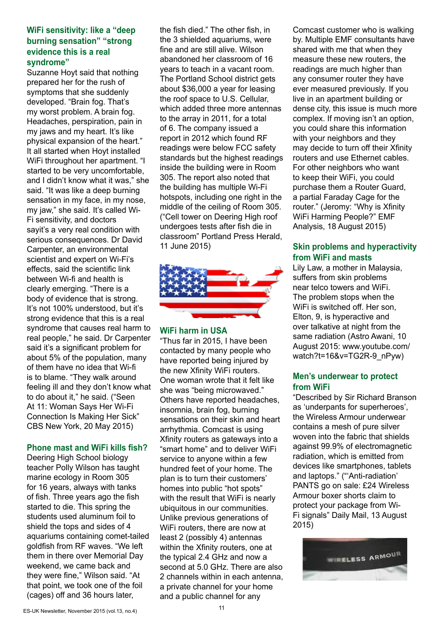#### **WiFi sensitivity: like a "deep burning sensation" "strong evidence this is a real syndrome"**

Suzanne Hoyt said that nothing prepared her for the rush of symptoms that she suddenly developed. "Brain fog. That's my worst problem. A brain fog. Headaches, perspiration, pain in my jaws and my heart. It's like physical expansion of the heart." It all started when Hoyt installed WiFi throughout her apartment. "I started to be very uncomfortable, and I didn't know what it was," she said. "It was like a deep burning sensation in my face, in my nose, my jaw," she said. It's called Wi-Fi sensitivity, and doctors sayit's a very real condition with serious consequences. Dr David Carpenter, an environmental scientist and expert on Wi-Fi's effects, said the scientific link between Wi-fi and health is clearly emerging. "There is a body of evidence that is strong. It's not 100% understood, but it's strong evidence that this is a real syndrome that causes real harm to real people," he said. Dr Carpenter said it's a significant problem for about 5% of the population, many of them have no idea that Wi-fi is to blame. "They walk around feeling ill and they don't know what to do about it," he said. ("Seen At 11: Woman Says Her Wi-Fi Connection Is Making Her Sick" CBS New York, 20 May 2015)

#### **Phone mast and WiFi kills fish?**

Deering High School biology teacher Polly Wilson has taught marine ecology in Room 305 for 16 years, always with tanks of fish. Three years ago the fish started to die. This spring the students used aluminum foil to shield the tops and sides of 4 aquariums containing comet-tailed goldfish from RF waves. "We left them in there over Memorial Day weekend, we came back and they were fine," Wilson said. "At that point, we took one of the foil (cages) off and 36 hours later,

the fish died." The other fish, in the 3 shielded aquariums, were fine and are still alive. Wilson abandoned her classroom of 16 years to teach in a vacant room. The Portland School district gets about \$36,000 a year for leasing the roof space to U.S. Cellular, which added three more antennas to the array in 2011, for a total of 6. The company issued a report in 2012 which found RF readings were below FCC safety standards but the highest readings inside the building were in Room 305. The report also noted that the building has multiple Wi-Fi hotspots, including one right in the middle of the ceiling of Room 305. ("Cell tower on Deering High roof undergoes tests after fish die in classroom" Portland Press Herald, 11 June 2015)



#### **WiFi harm in USA**

"Thus far in 2015, I have been contacted by many people who have reported being injured by the new Xfinity WiFi routers. One woman wrote that it felt like she was "being microwaved." Others have reported headaches, insomnia, brain fog, burning sensations on their skin and heart arrhythmia. Comcast is using Xfinity routers as gateways into a "smart home" and to deliver WiFi service to anyone within a few hundred feet of your home. The plan is to turn their customers' homes into public "hot spots" with the result that WiFi is nearly ubiquitous in our communities. Unlike previous generations of WiFi routers, there are now at least 2 (possibly 4) antennas within the Xfinity routers, one at the typical 2.4 GHz and now a second at 5.0 GHz. There are also 2 channels within in each antenna, a private channel for your home and a public channel for any

Comcast customer who is walking by. Multiple EMF consultants have shared with me that when they measure these new routers, the readings are much higher than any consumer router they have ever measured previously. If you live in an apartment building or dense city, this issue is much more complex. If moving isn't an option, you could share this information with your neighbors and they may decide to turn off their Xfinity routers and use Ethernet cables. For other neighbors who want to keep their WiFi, you could purchase them a Router Guard, a partial Faraday Cage for the router." (Jeromy: "Why is Xfinity WiFi Harming People?" EMF Analysis, 18 August 2015)

#### **Skin problems and hyperactivity from WiFi and masts**

Lily Law, a mother in Malaysia, suffers from skin problems near telco towers and WiFi. The problem stops when the WiFi is switched off. Her son, Elton, 9, is hyperactive and over talkative at night from the same radiation (Astro Awani, 10 August 2015: www.youtube.com/ watch?t=16&v=TG2R-9\_nPyw)

#### **Men's underwear to protect from WiFi**

"Described by Sir Richard Branson as 'underpants for superheroes', the Wireless Armour underwear contains a mesh of pure silver woven into the fabric that shields against 99.9% of electromagnetic radiation, which is emitted from devices like smartphones, tablets and laptops." ("'Anti-radiation' PANTS go on sale: £24 Wireless Armour boxer shorts claim to protect your package from Wi-Fi signals" Daily Mail, 13 August 2015)

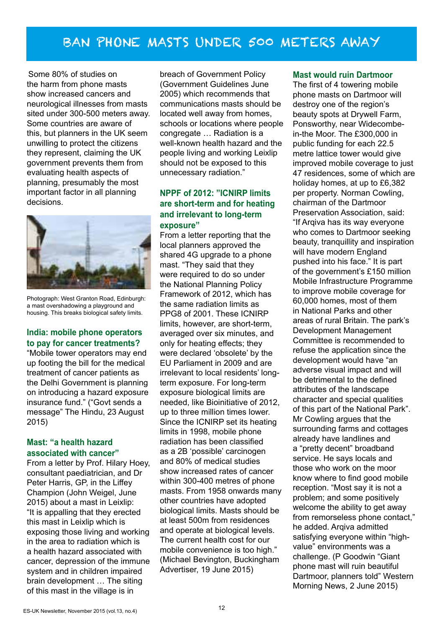## BAN PHONE MASTS UNDER 500 METERS AWAY

Some 80% of studies on the harm from phone masts show increased cancers and neurological illnesses from masts sited under 300-500 meters away. Some countries are aware of this, but planners in the UK seem unwilling to protect the citizens they represent, claiming the UK government prevents them from evaluating health aspects of planning, presumably the most important factor in all planning decisions.



Photograph: West Granton Road, Edinburgh: a mast overshadowing a playground and housing. This breaks biological safety limits.

#### **India: mobile phone operators to pay for cancer treatments?**

"Mobile tower operators may end up footing the bill for the medical treatment of cancer patients as the Delhi Government is planning on introducing a hazard exposure insurance fund." ("Govt sends a message" The Hindu, 23 August 2015)

#### **Mast: "a health hazard associated with cancer"**

From a letter by Prof. Hilary Hoey, consultant paediatrician, and Dr Peter Harris, GP, in the Liffey Champion (John Weigel, June 2015) about a mast in Leixlip: "It is appalling that they erected this mast in Leixlip which is exposing those living and working in the area to radiation which is a health hazard associated with cancer, depression of the immune system and in children impaired brain development … The siting of this mast in the village is in

breach of Government Policy (Government Guidelines June 2005) which recommends that communications masts should be located well away from homes, schools or locations where people congregate … Radiation is a well-known health hazard and the people living and working Leixlip should not be exposed to this unnecessary radiation."

#### **NPPF of 2012: "ICNIRP limits are short-term and for heating and irrelevant to long-term exposure"**

From a letter reporting that the local planners approved the shared 4G upgrade to a phone mast. "They said that they were required to do so under the National Planning Policy Framework of 2012, which has the same radiation limits as PPG8 of 2001. These ICNIRP limits, however, are short-term, averaged over six minutes, and only for heating effects; they were declared 'obsolete' by the EU Parliament in 2009 and are irrelevant to local residents' longterm exposure. For long-term exposure biological limits are needed, like Bioinitiative of 2012, up to three million times lower. Since the ICNIRP set its heating limits in 1998, mobile phone radiation has been classified as a 2B 'possible' carcinogen and 80% of medical studies show increased rates of cancer within 300-400 metres of phone masts. From 1958 onwards many other countries have adopted biological limits. Masts should be at least 500m from residences and operate at biological levels. The current health cost for our mobile convenience is too high." (Michael Bevington, Buckingham Advertiser, 19 June 2015)

#### **Mast would ruin Dartmoor**

The first of 4 towering mobile phone masts on Dartmoor will destroy one of the region's beauty spots at Drywell Farm, Ponsworthy, near Widecombein-the Moor. The £300,000 in public funding for each 22.5 metre lattice tower would give improved mobile coverage to just 47 residences, some of which are holiday homes, at up to £6,382 per property. Norman Cowling, chairman of the Dartmoor Preservation Association, said: "If Arqiva has its way everyone who comes to Dartmoor seeking beauty, tranquillity and inspiration will have modern England pushed into his face." It is part of the government's £150 million Mobile Infrastructure Programme to improve mobile coverage for 60,000 homes, most of them in National Parks and other areas of rural Britain. The park's Development Management Committee is recommended to refuse the application since the development would have "an adverse visual impact and will be detrimental to the defined attributes of the landscape character and special qualities of this part of the National Park". Mr Cowling argues that the surrounding farms and cottages already have landlines and a "pretty decent" broadband service. He says locals and those who work on the moor know where to find good mobile reception. "Most say it is not a problem; and some positively welcome the ability to get away from remorseless phone contact," he added. Arqiva admitted satisfying everyone within "highvalue" environments was a challenge. (P Goodwin "Giant phone mast will ruin beautiful Dartmoor, planners told" Western Morning News, 2 June 2015)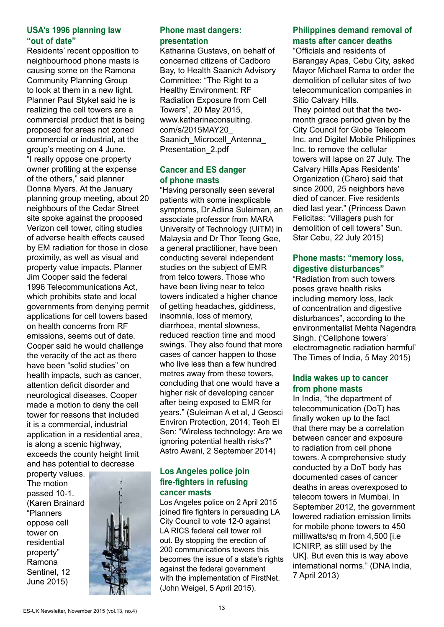#### **USA's 1996 planning law "out of date"**

Residents' recent opposition to neighbourhood phone masts is causing some on the Ramona Community Planning Group to look at them in a new light. Planner Paul Stykel said he is realizing the cell towers are a commercial product that is being proposed for areas not zoned commercial or industrial, at the group's meeting on 4 June. "I really oppose one property owner profiting at the expense of the others," said planner Donna Myers. At the January planning group meeting, about 20 neighbours of the Cedar Street site spoke against the proposed Verizon cell tower, citing studies of adverse health effects caused by EM radiation for those in close proximity, as well as visual and property value impacts. Planner Jim Cooper said the federal 1996 Telecommunications Act, which prohibits state and local governments from denying permit applications for cell towers based on health concerns from RF emissions, seems out of date. Cooper said he would challenge the veracity of the act as there have been "solid studies" on health impacts, such as cancer, attention deficit disorder and neurological diseases. Cooper made a motion to deny the cell tower for reasons that included it is a commercial, industrial application in a residential area, is along a scenic highway, exceeds the county height limit and has potential to decrease

property values. The motion passed 10-1. (Karen Brainard "Planners oppose cell tower on residential property" Ramona Sentinel, 12 June 2015)



#### **Phone mast dangers: presentation**

Katharina Gustavs, on behalf of concerned citizens of Cadboro Bay, to Health Saanich Advisory Committee: "The Right to a Healthy Environment: RF Radiation Exposure from Cell Towers", 20 May 2015, www.katharinaconsulting. com/s/2015MAY20\_ Saanich Microcell Antenna Presentation\_2.pdf

#### **Cancer and ES danger of phone masts**

"Having personally seen several patients with some inexplicable symptoms, Dr Adlina Suleiman, an associate professor from MARA University of Technology (UiTM) in Malaysia and Dr Thor Teong Gee, a general practitioner, have been conducting several independent studies on the subject of EMR from telco towers. Those who have been living near to telco towers indicated a higher chance of getting headaches, giddiness, insomnia, loss of memory, diarrhoea, mental slowness, reduced reaction time and mood swings. They also found that more cases of cancer happen to those who live less than a few hundred metres away from these towers, concluding that one would have a higher risk of developing cancer after being exposed to EMR for years." (Suleiman A et al, J Geosci Environ Protection, 2014; Teoh El Sen: "Wireless technology: Are we ignoring potential health risks?" Astro Awani, 2 September 2014)

#### **Los Angeles police join fire-fighters in refusing cancer masts**

Los Angeles police on 2 April 2015 joined fire fighters in persuading LA City Council to vote 12-0 against LA RICS federal cell tower roll out. By stopping the erection of 200 communications towers this becomes the issue of a state's rights against the federal government with the implementation of FirstNet. (John Weigel, 5 April 2015).

### **Philippines demand removal of masts after cancer deaths**

"Officials and residents of Barangay Apas, Cebu City, asked Mayor Michael Rama to order the demolition of cellular sites of two telecommunication companies in Sitio Calvary Hills.

They pointed out that the twomonth grace period given by the City Council for Globe Telecom Inc. and Digitel Mobile Philippines Inc. to remove the cellular towers will lapse on 27 July. The Calvary Hills Apas Residents' Organization (Charo) said that since 2000, 25 neighbors have died of cancer. Five residents died last year." (Princess Dawn Felicitas: "Villagers push for demolition of cell towers" Sun. Star Cebu, 22 July 2015)

#### **Phone masts: "memory loss, digestive disturbances"**

"Radiation from such towers poses grave health risks including memory loss, lack of concentration and digestive disturbances", according to the environmentalist Mehta Nagendra Singh. ('Cellphone towers' electromagnetic radiation harmful' The Times of India, 5 May 2015)

#### **India wakes up to cancer from phone masts**

In India, "the department of telecommunication (DoT) has finally woken up to the fact that there may be a correlation between cancer and exposure to radiation from cell phone towers. A comprehensive study conducted by a DoT body has documented cases of cancer deaths in areas overexposed to telecom towers in Mumbai. In September 2012, the government lowered radiation emission limits for mobile phone towers to 450 milliwatts/sq m from 4,500 [i.e ICNIRP, as still used by the UK]. But even this is way above international norms." (DNA India, 7 April 2013)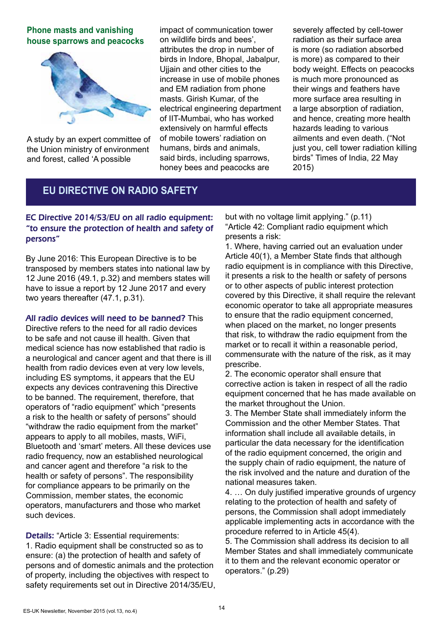**Phone masts and vanishing house sparrows and peacocks**



A study by an expert committee of the Union ministry of environment and forest, called 'A possible

impact of communication tower on wildlife birds and bees', attributes the drop in number of birds in Indore, Bhopal, Jabalpur, Ujjain and other cities to the increase in use of mobile phones and EM radiation from phone masts. Girish Kumar, of the electrical engineering department of IIT-Mumbai, who has worked extensively on harmful effects of mobile towers' radiation on humans, birds and animals, said birds, including sparrows, honey bees and peacocks are

severely affected by cell-tower radiation as their surface area is more (so radiation absorbed is more) as compared to their body weight. Effects on peacocks is much more pronounced as their wings and feathers have more surface area resulting in a large absorption of radiation, and hence, creating more health hazards leading to various ailments and even death. ("Not just you, cell tower radiation killing birds" Times of India, 22 May 2015)

### **EU DIRECTIVE ON RADIO SAFETY**

#### EC Directive 2014/53/EU on all radio equipment: "to ensure the protection of health and safety of persons"

By June 2016: This European Directive is to be transposed by members states into national law by 12 June 2016 (49.1, p.32) and members states will have to issue a report by 12 June 2017 and every two years thereafter (47.1, p.31).

All radio devices will need to be banned? This Directive refers to the need for all radio devices to be safe and not cause ill health. Given that medical science has now established that radio is a neurological and cancer agent and that there is ill health from radio devices even at very low levels, including ES symptoms, it appears that the EU expects any devices contravening this Directive to be banned. The requirement, therefore, that operators of "radio equipment" which "presents a risk to the health or safety of persons" should "withdraw the radio equipment from the market" appears to apply to all mobiles, masts, WiFi, Bluetooth and 'smart' meters. All these devices use radio frequency, now an established neurological and cancer agent and therefore "a risk to the health or safety of persons". The responsibility for compliance appears to be primarily on the Commission, member states, the economic operators, manufacturers and those who market such devices.

Details: "Article 3: Essential requirements: 1. Radio equipment shall be constructed so as to ensure: (a) the protection of health and safety of persons and of domestic animals and the protection of property, including the objectives with respect to safety requirements set out in Directive 2014/35/EU, but with no voltage limit applying." (p.11) "Article 42: Compliant radio equipment which presents a risk:

1. Where, having carried out an evaluation under Article 40(1), a Member State finds that although radio equipment is in compliance with this Directive, it presents a risk to the health or safety of persons or to other aspects of public interest protection covered by this Directive, it shall require the relevant economic operator to take all appropriate measures to ensure that the radio equipment concerned, when placed on the market, no longer presents that risk, to withdraw the radio equipment from the market or to recall it within a reasonable period, commensurate with the nature of the risk, as it may prescribe.

2. The economic operator shall ensure that corrective action is taken in respect of all the radio equipment concerned that he has made available on the market throughout the Union.

3. The Member State shall immediately inform the Commission and the other Member States. That information shall include all available details, in particular the data necessary for the identification of the radio equipment concerned, the origin and the supply chain of radio equipment, the nature of the risk involved and the nature and duration of the national measures taken.

4. … On duly justified imperative grounds of urgency relating to the protection of health and safety of persons, the Commission shall adopt immediately applicable implementing acts in accordance with the procedure referred to in Article 45(4).

5. The Commission shall address its decision to all Member States and shall immediately communicate it to them and the relevant economic operator or operators." (p.29)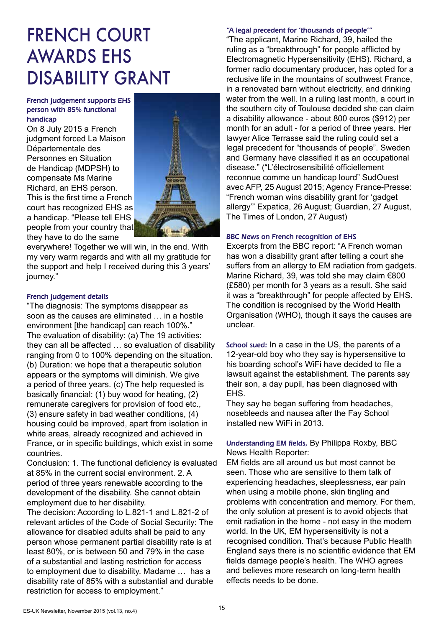# FRENCH COURT AWARDS EHS DISABILITY GRANT

#### French judgement supports EHS person with 85% functional handicap

On 8 July 2015 a French judgment forced La Maison Départementale des Personnes en Situation de Handicap (MDPSH) to compensate Ms Marine Richard, an EHS person. This is the first time a French court has recognized EHS as a handicap. "Please tell EHS people from your country that they have to do the same



everywhere! Together we will win, in the end. With my very warm regards and with all my gratitude for the support and help I received during this 3 years' journey."

#### French judgement details

"The diagnosis: The symptoms disappear as soon as the causes are eliminated … in a hostile environment [the handicap] can reach 100%." The evaluation of disability: (a) The 19 activities: they can all be affected … so evaluation of disability ranging from 0 to 100% depending on the situation. (b) Duration: we hope that a therapeutic solution appears or the symptoms will diminish. We give a period of three years. (c) The help requested is basically financial: (1) buy wood for heating, (2) remunerate caregivers for provision of food etc., (3) ensure safety in bad weather conditions, (4) housing could be improved, apart from isolation in white areas, already recognized and achieved in France, or in specific buildings, which exist in some countries.

Conclusion: 1. The functional deficiency is evaluated at 85% in the current social environment. 2. A period of three years renewable according to the development of the disability. She cannot obtain employment due to her disability.

The decision: According to L.821-1 and L.821-2 of relevant articles of the Code of Social Security: The allowance for disabled adults shall be paid to any person whose permanent partial disability rate is at least 80%, or is between 50 and 79% in the case of a substantial and lasting restriction for access to employment due to disability. Madame … has a disability rate of 85% with a substantial and durable restriction for access to employment."

#### "A legal precedent for 'thousands of people'"

"The applicant, Marine Richard, 39, hailed the ruling as a "breakthrough" for people afflicted by Electromagnetic Hypersensitivity (EHS). Richard, a former radio documentary producer, has opted for a reclusive life in the mountains of southwest France, in a renovated barn without electricity, and drinking water from the well. In a ruling last month, a court in the southern city of Toulouse decided she can claim a disability allowance - about 800 euros (\$912) per month for an adult - for a period of three years. Her lawyer Alice Terrasse said the ruling could set a legal precedent for "thousands of people". Sweden and Germany have classified it as an occupational disease." ("L'électrosensibilité officiellement reconnue comme un handicap lourd" SudOuest avec AFP, 25 August 2015; Agency France-Presse: "French woman wins disability grant for 'gadget allergy'" Expatica, 26 August; Guardian, 27 August, The Times of London, 27 August)

#### BBC News on French recognition of EHS

Excerpts from the BBC report: "A French woman has won a disability grant after telling a court she suffers from an allergy to EM radiation from gadgets. Marine Richard, 39, was told she may claim €800 (£580) per month for 3 years as a result. She said it was a "breakthrough" for people affected by EHS. The condition is recognised by the World Health Organisation (WHO), though it says the causes are unclear.

School sued: In a case in the US, the parents of a 12-year-old boy who they say is hypersensitive to his boarding school's WiFi have decided to file a lawsuit against the establishment. The parents say their son, a day pupil, has been diagnosed with EHS.

They say he began suffering from headaches, nosebleeds and nausea after the Fay School installed new WiFi in 2013.

#### Understanding EM fields, By Philippa Roxby, BBC News Health Reporter:

EM fields are all around us but most cannot be seen. Those who are sensitive to them talk of experiencing headaches, sleeplessness, ear pain when using a mobile phone, skin tingling and problems with concentration and memory. For them, the only solution at present is to avoid objects that emit radiation in the home - not easy in the modern world. In the UK, EM hypersensitivity is not a recognised condition. That's because Public Health England says there is no scientific evidence that EM fields damage people's health. The WHO agrees and believes more research on long-term health effects needs to be done.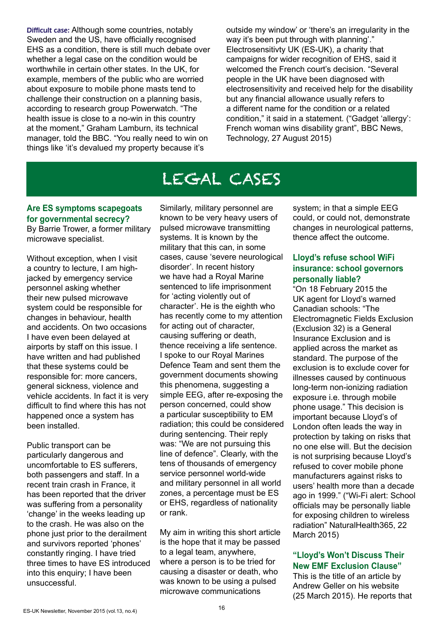Difficult case: Although some countries, notably Sweden and the US, have officially recognised EHS as a condition, there is still much debate over whether a legal case on the condition would be worthwhile in certain other states. In the UK, for example, members of the public who are worried about exposure to mobile phone masts tend to challenge their construction on a planning basis, according to research group Powerwatch. "The health issue is close to a no-win in this country at the moment," Graham Lamburn, its technical manager, told the BBC. "You really need to win on things like 'it's devalued my property because it's

outside my window' or 'there's an irregularity in the way it's been put through with planning'." Electrosensitivty UK (ES-UK), a charity that campaigns for wider recognition of EHS, said it welcomed the French court's decision. "Several people in the UK have been diagnosed with electrosensitivity and received help for the disability but any financial allowance usually refers to a different name for the condition or a related condition," it said in a statement. ("Gadget 'allergy': French woman wins disability grant", BBC News, Technology, 27 August 2015)

# LEGAL CASES

### **Are ES symptoms scapegoats for governmental secrecy?**

By Barrie Trower, a former military microwave specialist.

Without exception, when I visit a country to lecture, I am highjacked by emergency service personnel asking whether their new pulsed microwave system could be responsible for changes in behaviour, health and accidents. On two occasions I have even been delayed at airports by staff on this issue. I have written and had published that these systems could be responsible for: more cancers, general sickness, violence and vehicle accidents. In fact it is very difficult to find where this has not happened once a system has been installed.

Public transport can be particularly dangerous and uncomfortable to ES sufferers, both passengers and staff. In a recent train crash in France, it has been reported that the driver was suffering from a personality 'change' in the weeks leading up to the crash. He was also on the phone just prior to the derailment and survivors reported 'phones' constantly ringing. I have tried three times to have ES introduced into this enquiry; I have been unsuccessful.

Similarly, military personnel are known to be very heavy users of pulsed microwave transmitting systems. It is known by the military that this can, in some cases, cause 'severe neurological disorder'. In recent history we have had a Royal Marine sentenced to life imprisonment for 'acting violently out of character'. He is the eighth who has recently come to my attention for acting out of character, causing suffering or death, thence receiving a life sentence. I spoke to our Royal Marines Defence Team and sent them the government documents showing this phenomena, suggesting a simple EEG, after re-exposing the person concerned, could show a particular susceptibility to EM radiation; this could be considered during sentencing. Their reply was: "We are not pursuing this line of defence". Clearly, with the tens of thousands of emergency service personnel world-wide and military personnel in all world zones, a percentage must be ES or EHS, regardless of nationality or rank.

My aim in writing this short article is the hope that it may be passed to a legal team, anywhere, where a person is to be tried for causing a disaster or death, who was known to be using a pulsed microwave communications

system; in that a simple EEG could, or could not, demonstrate changes in neurological patterns, thence affect the outcome.

#### **Lloyd's refuse school WiFi insurance: school governors personally liable?**

"On 18 February 2015 the UK agent for Lloyd's warned Canadian schools: "The Electromagnetic Fields Exclusion (Exclusion 32) is a General Insurance Exclusion and is applied across the market as standard. The purpose of the exclusion is to exclude cover for illnesses caused by continuous long-term non-ionizing radiation exposure i.e. through mobile phone usage." This decision is important because Lloyd's of London often leads the way in protection by taking on risks that no one else will. But the decision is not surprising because Lloyd's refused to cover mobile phone manufacturers against risks to users' health more than a decade ago in 1999." ("Wi-Fi alert: School officials may be personally liable for exposing children to wireless radiation" NaturalHealth365, 22 March 2015)

#### **"Lloyd's Won't Discuss Their New EMF Exclusion Clause"**

This is the title of an article by Andrew Geller on his website (25 March 2015). He reports that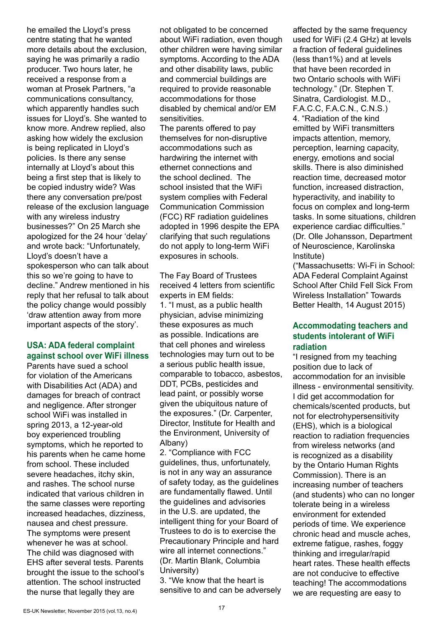he emailed the Lloyd's press centre stating that he wanted more details about the exclusion, saying he was primarily a radio producer. Two hours later, he received a response from a woman at Prosek Partners, "a communications consultancy, which apparently handles such issues for Lloyd's. She wanted to know more. Andrew replied, also asking how widely the exclusion is being replicated in Lloyd's policies. Is there any sense internally at Lloyd's about this being a first step that is likely to be copied industry wide? Was there any conversation pre/post release of the exclusion language with any wireless industry businesses?" On 25 March she apologized for the 24 hour 'delay' and wrote back: "Unfortunately, Lloyd's doesn't have a spokesperson who can talk about this so we're going to have to decline." Andrew mentioned in his reply that her refusal to talk about the policy change would possibly 'draw attention away from more important aspects of the story'.

#### **USA: ADA federal complaint against school over WiFi illness**

Parents have sued a school for violation of the Americans with Disabilities Act (ADA) and damages for breach of contract and negligence. After stronger school WiFi was installed in spring 2013, a 12-year-old boy experienced troubling symptoms, which he reported to his parents when he came home from school. These included severe headaches, itchy skin, and rashes. The school nurse indicated that various children in the same classes were reporting increased headaches, dizziness, nausea and chest pressure. The symptoms were present whenever he was at school. The child was diagnosed with EHS after several tests. Parents brought the issue to the school's attention. The school instructed the nurse that legally they are

not obligated to be concerned about WiFi radiation, even though other children were having similar symptoms. According to the ADA and other disability laws, public and commercial buildings are required to provide reasonable accommodations for those disabled by chemical and/or EM sensitivities.

The parents offered to pay themselves for non-disruptive accommodations such as hardwiring the internet with ethernet connections and the school declined. The school insisted that the WiFi system complies with Federal Communication Commission (FCC) RF radiation guidelines adopted in 1996 despite the EPA clarifying that such regulations do not apply to long-term WiFi exposures in schools.

The Fay Board of Trustees received 4 letters from scientific experts in EM fields: 1. "I must, as a public health physician, advise minimizing these exposures as much as possible. Indications are that cell phones and wireless technologies may turn out to be a serious public health issue, comparable to tobacco, asbestos, DDT, PCBs, pesticides and lead paint, or possibly worse given the ubiquitous nature of the exposures." (Dr. Carpenter, Director, Institute for Health and the Environment, University of Albany)

2. "Compliance with FCC guidelines, thus, unfortunately, is not in any way an assurance of safety today, as the guidelines are fundamentally flawed. Until the guidelines and advisories in the U.S. are updated, the intelligent thing for your Board of Trustees to do is to exercise the Precautionary Principle and hard wire all internet connections." (Dr. Martin Blank, Columbia University)

3. "We know that the heart is sensitive to and can be adversely

affected by the same frequency used for WiFi (2.4 GHz) at levels a fraction of federal guidelines (less than1%) and at levels that have been recorded in two Ontario schools with WiFi technology." (Dr. Stephen T. Sinatra, Cardiologist. M.D., F.A.C.C, F.A.C.N., C.N.S.) 4. "Radiation of the kind emitted by WiFi transmitters impacts attention, memory, perception, learning capacity, energy, emotions and social skills. There is also diminished reaction time, decreased motor function, increased distraction, hyperactivity, and inability to focus on complex and long-term tasks. In some situations, children experience cardiac difficulties." (Dr. Olle Johansson, Department of Neuroscience, Karolinska Institute)

("Massachusetts: Wi-Fi in School: ADA Federal Complaint Against School After Child Fell Sick From Wireless Installation" Towards Better Health, 14 August 2015)

#### **Accommodating teachers and students intolerant of WiFi radiation**

"I resigned from my teaching position due to lack of accommodation for an invisible illness - environmental sensitivity. I did get accommodation for chemicals/scented products, but not for electrohypersensitivity (EHS), which is a biological reaction to radiation frequencies from wireless networks (and is recognized as a disability by the Ontario Human Rights Commission). There is an increasing number of teachers (and students) who can no longer tolerate being in a wireless environment for extended periods of time. We experience chronic head and muscle aches, extreme fatigue, rashes, foggy thinking and irregular/rapid heart rates. These health effects are not conducive to effective teaching! The accommodations we are requesting are easy to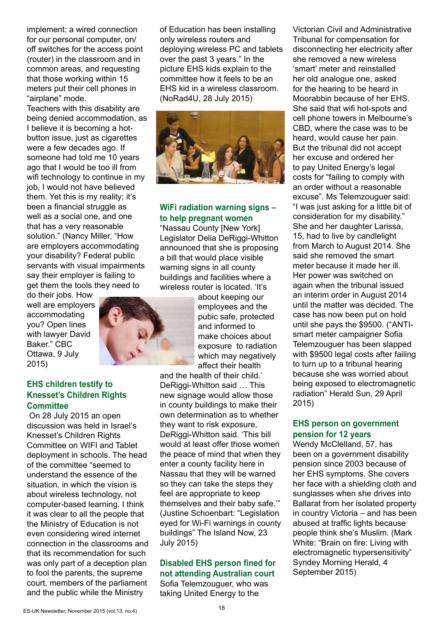implement: a wired connection for our personal computer, on/ off switches for the access point (router) in the classroom and in common areas, and requesting that those working within 15 meters put their cell phones in "airplane" mode.

Teachers with this disability are being denied accommodation, as I believe it is becoming a hotbutton issue, just as cigarettes were a few decades ago. If someone had told me 10 years ago that I would be too ill from wifi technology to continue in my job, I would not have believed them. Yet this is my reality; it's been a financial struggle as well as a social one, and one that has a very reasonable solution." (Nancy Miller, "How are employers accommodating your disability? Federal public servants with visual impairments say their employer is failing to get them the tools they need to

do their jobs. How well are employers accommodating you? Open lines with lawyer David Baker." CBC Ottawa, 9 July 2015)

#### **EHS children testify to Knesset's Children Rights Committee**

 On 28 July 2015 an open discussion was held in Israel's Knesset's Children Rights Committee on WIFI and Tablet deployment in schools. The head of the committee "seemed to understand the essence of the situation, in which the vision is about wireless technology, not computer-based learning. I think it was clear to all the people that the Ministry of Education is not even considering wired internet connection in the classrooms and that its recommendation for such was only part of a deception plan to fool the parents, the supreme court, members of the parliament and the public while the Ministry

of Education has been installing only wireless routers and deploying wireless PC and tablets over the past 3 years." In the picture EHS kids explain to the committee how it feels to be an EHS kid in a wireless classroom. (NoRad4U, 28 July 2015)



#### **WiFi radiation warning signs – to help pregnant women**

"Nassau County [New York] Legislator Delia DeRiggi-Whitton announced that she is proposing a bill that would place visible warning signs in all county buildings and facilities where a wireless router is located. 'It's

> about keeping our employees and the pubic safe, protected and informed to make choices about exposure to radiation which may negatively affect their health

and the health of their child.' DeRiggi-Whitton said … This new signage would allow those in county buildings to make their own determination as to whether they want to risk exposure, DeRiggi-Whitton said. 'This bill would at least offer those women the peace of mind that when they enter a county facility here in Nassau that they will be warned so they can take the steps they feel are appropriate to keep themselves and their baby safe.'" (Justine Schoenbart: "Legislation eyed for Wi-Fi warnings in county buildings" The Island Now, 23 July 2015)

#### **Disabled EHS person fined for not attending Australian court**

Sofia Telemzouguer, who was taking United Energy to the

Victorian Civil and Administrative Tribunal for compensation for disconnecting her electricity after she removed a new wireless 'smart' meter and reinstalled her old analogue one, asked for the hearing to be heard in Moorabbin because of her EHS. She said that wifi hot-spots and cell phone towers in Melbourne's CBD, where the case was to be heard, would cause her pain. But the tribunal did not accept her excuse and ordered her to pay United Energy's legal costs for "failing to comply with an order without a reasonable excuse". Ms Telemzouguer said: "I was just asking for a little bit of consideration for my disability." She and her daughter Larissa, 15, had to live by candlelight from March to August 2014. She said she removed the smart meter because it made her ill. Her power was switched on again when the tribunal issued an interim order in August 2014 until the matter was decided. The case has now been put on hold until she pays the \$9500. ("ANTIsmart meter campaigner Sofia Telemzouguer has been slapped with \$9500 legal costs after failing to turn up to a tribunal hearing because she was worried about being exposed to electromagnetic radiation" Herald Sun, 29 April 2015)

#### **EHS person on government pension for 12 years**

Wendy McClelland, 57, has been on a government disability pension since 2003 because of her EHS symptoms. She covers her face with a shielding cloth and sunglasses when she drives into Ballarat from her isolated property in country Victoria – and has been abused at traffic lights because people think she's Muslim. (Mark White: "Brain on fire: Living with electromagnetic hypersensitivity" Syndey Morning Herald, 4 September 2015)

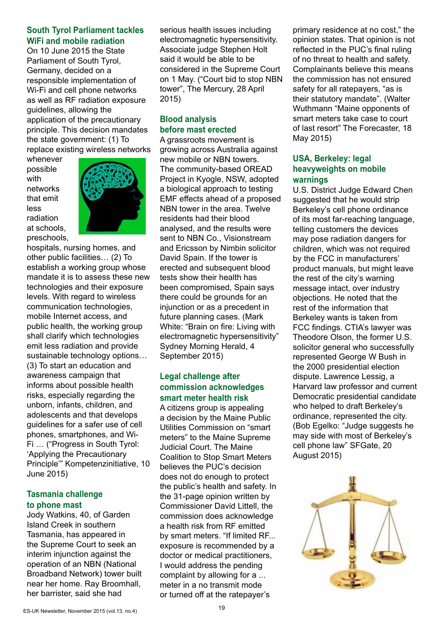#### **South Tyrol Parliament tackles WiFi and mobile radiation**

On 10 June 2015 the State Parliament of South Tyrol, Germany, decided on a responsible implementation of Wi-Fi and cell phone networks as well as RF radiation exposure guidelines, allowing the application of the precautionary principle. This decision mandates the state government: (1) To replace existing wireless networks

whenever possible with networks that emit less radiation at schools, preschools,



hospitals, nursing homes, and other public facilities… (2) To establish a working group whose mandate it is to assess these new technologies and their exposure levels. With regard to wireless communication technologies, mobile Internet access, and public health, the working group shall clarify which technologies emit less radiation and provide sustainable technology options… (3) To start an education and awareness campaign that informs about possible health risks, especially regarding the unborn, infants, children, and adolescents and that develops guidelines for a safer use of cell phones, smartphones, and Wi-Fi … ("Progress in South Tyrol: 'Applying the Precautionary Principle'" Kompetenzinitiative, 10 June 2015)

#### **Tasmania challenge to phone mast**

Jody Watkins, 40, of Garden Island Creek in southern Tasmania, has appeared in the Supreme Court to seek an interim injunction against the operation of an NBN (National Broadband Network) tower built near her home. Ray Broomhall, her barrister, said she had

serious health issues including electromagnetic hypersensitivity. Associate judge Stephen Holt said it would be able to be considered in the Supreme Court on 1 May. ("Court bid to stop NBN tower", The Mercury, 28 April 2015)

#### **Blood analysis before mast erected**

A grassroots movement is growing across Australia against new mobile or NBN towers. The community-based OREAD Project in Kyogle, NSW, adopted a biological approach to testing EMF effects ahead of a proposed NBN tower in the area. Twelve residents had their blood analysed, and the results were sent to NBN Co., Visionstream and Ericsson by Nimbin solicitor David Spain. If the tower is erected and subsequent blood tests show their health has been compromised, Spain says there could be grounds for an injunction or as a precedent in future planning cases. (Mark White: "Brain on fire: Living with electromagnetic hypersensitivity" Sydney Morning Herald, 4 September 2015)

#### **Legal challenge after commission acknowledges smart meter health risk**

A citizens group is appealing a decision by the Maine Public Utilities Commission on "smart meters" to the Maine Supreme Judicial Court. The Maine Coalition to Stop Smart Meters believes the PUC's decision does not do enough to protect the public's health and safety. In the 31-page opinion written by Commissioner David Littell, the commission does acknowledge a health risk from RF emitted by smart meters. "If limited RF... exposure is recommended by a doctor or medical practitioners, I would address the pending complaint by allowing for a ... meter in a no transmit mode or turned off at the ratepayer's

primary residence at no cost," the opinion states. That opinion is not reflected in the PUC's final ruling of no threat to health and safety. Complainants believe this means the commission has not ensured safety for all ratepayers, "as is their statutory mandate". (Walter Wuthmann "Maine opponents of smart meters take case to court of last resort" The Forecaster, 18 May 2015)

#### **USA, Berkeley: legal heavyweights on mobile warnings**

U.S. District Judge Edward Chen suggested that he would strip Berkeley's cell phone ordinance of its most far-reaching language, telling customers the devices may pose radiation dangers for children, which was not required by the FCC in manufacturers' product manuals, but might leave the rest of the city's warning message intact, over industry objections. He noted that the rest of the information that Berkeley wants is taken from FCC findings. CTIA's lawyer was Theodore Olson, the former U.S. solicitor general who successfully represented George W Bush in the 2000 presidential election dispute. Lawrence Lessig, a Harvard law professor and current Democratic presidential candidate who helped to draft Berkeley's ordinance, represented the city. (Bob Egelko: "Judge suggests he may side with most of Berkeley's cell phone law" SFGate, 20 August 2015)

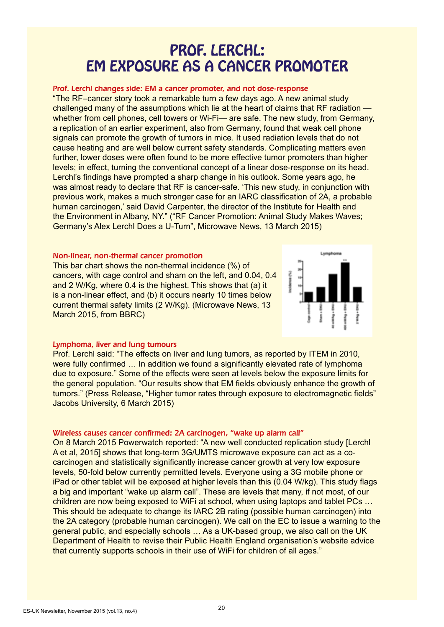# PROF. LERCHL: EM EXPOSURE AS A CANCER PROMOTER

#### Prof. Lerchl changes side: EM a cancer promoter, and not dose-response

"The RF–cancer story took a remarkable turn a few days ago. A new animal study challenged many of the assumptions which lie at the heart of claims that RF radiation whether from cell phones, cell towers or Wi-Fi— are safe. The new study, from Germany, a replication of an earlier experiment, also from Germany, found that weak cell phone signals can promote the growth of tumors in mice. It used radiation levels that do not cause heating and are well below current safety standards. Complicating matters even further, lower doses were often found to be more effective tumor promoters than higher levels; in effect, turning the conventional concept of a linear dose-response on its head. Lerchl's findings have prompted a sharp change in his outlook. Some years ago, he was almost ready to declare that RF is cancer-safe. 'This new study, in conjunction with previous work, makes a much stronger case for an IARC classification of 2A, a probable human carcinogen,' said David Carpenter, the director of the Institute for Health and the Environment in Albany, NY." ("RF Cancer Promotion: Animal Study Makes Waves; Germany's Alex Lerchl Does a U-Turn", Microwave News, 13 March 2015)

#### Non-linear, non-thermal cancer promotion

This bar chart shows the non-thermal incidence (%) of cancers, with cage control and sham on the left, and 0.04, 0.4 and 2 W/Kg, where 0.4 is the highest. This shows that (a) it is a non-linear effect, and (b) it occurs nearly 10 times below current thermal safety limits (2 W/Kg). (Microwave News, 13 March 2015, from BBRC)



#### Lymphoma, liver and lung tumours

Prof. Lerchl said: "The effects on liver and lung tumors, as reported by ITEM in 2010, were fully confirmed ... In addition we found a significantly elevated rate of lymphoma due to exposure." Some of the effects were seen at levels below the exposure limits for the general population. "Our results show that EM fields obviously enhance the growth of tumors." (Press Release, "Higher tumor rates through exposure to electromagnetic fields" Jacobs University, 6 March 2015)

#### Wireless causes cancer confirmed: 2A carcinogen, "wake up alarm call"

On 8 March 2015 Powerwatch reported: "A new well conducted replication study [Lerchl A et al, 2015] shows that long-term 3G/UMTS microwave exposure can act as a cocarcinogen and statistically significantly increase cancer growth at very low exposure levels, 50-fold below currently permitted levels. Everyone using a 3G mobile phone or iPad or other tablet will be exposed at higher levels than this (0.04 W/kg). This study flags a big and important "wake up alarm call". These are levels that many, if not most, of our children are now being exposed to WiFi at school, when using laptops and tablet PCs … This should be adequate to change its IARC 2B rating (possible human carcinogen) into the 2A category (probable human carcinogen). We call on the EC to issue a warning to the general public, and especially schools … As a UK-based group, we also call on the UK Department of Health to revise their Public Health England organisation's website advice that currently supports schools in their use of WiFi for children of all ages."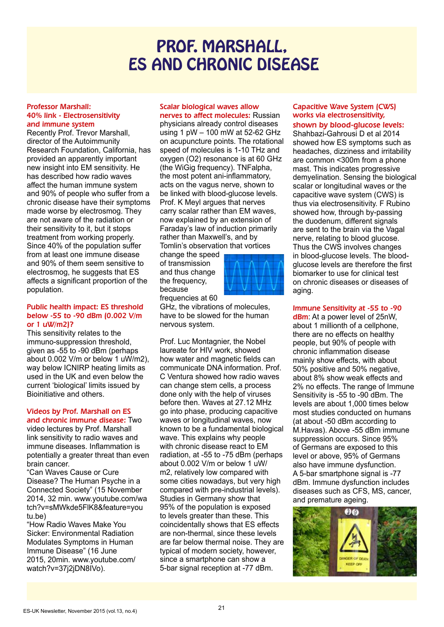# PROF. MARSHALL, ES AND CHRONIC DISEASE

#### Professor Marshall: 40% link - Electrosensitivity and immune system

Recently Prof. Trevor Marshall, director of the Autoimmunity Research Foundation, California, has provided an apparently important new insight into EM sensitivity. He has described how radio waves affect the human immune system and 90% of people who suffer from a chronic disease have their symptoms made worse by electrosmog. They are not aware of the radiation or their sensitivity to it, but it stops treatment from working properly. Since 40% of the population suffer from at least one immune disease and 90% of them seem sensitive to electrosmog, he suggests that ES affects a significant proportion of the population.

#### Public health impact: ES threshold below -55 to -90 dBm (0.002 V/m or 1 uW/m2)?

This sensitivity relates to the immuno-suppression threshold, given as -55 to -90 dBm (perhaps about 0.002 V/m or below 1 uW/m2), way below ICNIRP heating limits as used in the UK and even below the current 'biological' limits issued by Bioinitiative and others.

#### Videos by Prof. Marshall on ES and chronic immune disease: Two

video lectures by Prof. Marshall link sensitivity to radio waves and immune diseases. Inflammation is potentially a greater threat than even brain cancer.

"Can Waves Cause or Cure Disease? The Human Psyche in a Connected Society" (15 November 2014, 32 min. www.youtube.com/wa tch?v=sMWkde5FlK8&feature=you tu.be)

"How Radio Waves Make You Sicker: Environmental Radiation Modulates Symptoms in Human Immune Disease" (16 June 2015, 20min. www.youtube.com/ watch?v=37i2iDN8IVo).

#### Scalar biological waves allow

nerves to affect molecules: Russian physicians already control diseases using 1 pW – 100 mW at 52-62 GHz on acupuncture points. The rotational speed of molecules is 1-10 THz and oxygen (O2) resonance is at 60 GHz (the WiGig frequency). TNFalpha, the most potent ani-inflammatory, acts on the vagus nerve, shown to be linked with blood-glucose levels. Prof. K Meyl argues that nerves carry scalar rather than EM waves, now explained by an extension of Faraday's law of induction primarily rather than Maxwell's, and by Tomlin's observation that vortices

change the speed of transmission and thus change the frequency, because frequencies at 60



GHz, the vibrations of molecules. have to be slowed for the human nervous system.

Prof. Luc Montagnier, the Nobel laureate for HIV work, showed how water and magnetic fields can communicate DNA information. Prof. C Ventura showed how radio waves can change stem cells, a process done only with the help of viruses before then. Waves at 27.12 MHz go into phase, producing capacitive waves or longitudinal waves, now known to be a fundamental biological wave. This explains why people with chronic disease react to EM radiation, at -55 to -75 dBm (perhaps about 0.002 V/m or below 1 uW/ m2, relatively low compared with some cities nowadays, but very high compared with pre-industrial levels). Studies in Germany show that 95% of the population is exposed to levels greater than these. This coincidentally shows that ES effects are non-thermal, since these levels are far below thermal noise. They are typical of modern society, however, since a smartphone can show a 5-bar signal reception at -77 dBm.

#### Capacitive Wave System (CWS) works via electrosensitivity,

shown by blood-glucose levels: Shahbazi-Gahrousi D et al 2014 showed how ES symptoms such as headaches, dizziness and irritability are common <300m from a phone mast. This indicates progressive demyelination. Sensing the biological scalar or longitudinal waves or the capacitive wave system (CWS) is thus via electrosensitivity. F Rubino showed how, through by-passing the duodenum, different signals are sent to the brain via the Vagal nerve, relating to blood glucose. Thus the CWS involves changes in blood-glucose levels. The bloodglucose levels are therefore the first biomarker to use for clinical test on chronic diseases or diseases of aging.

Immune Sensitivity at -55 to -90

dBm: At a power level of 25nW, about 1 millionth of a cellphone, there are no effects on healthy people, but 90% of people with chronic inflammation disease mainly show effects, with about 50% positive and 50% negative, about 8% show weak effects and 2% no effects. The range of Immune Sensitivity is -55 to -90 dBm. The levels are about 1,000 times below most studies conducted on humans (at about -50 dBm according to M.Havas). Above -55 dBm immune suppression occurs. Since 95% of Germans are exposed to this level or above, 95% of Germans also have immune dysfunction. A 5-bar smartphone signal is -77 dBm. Immune dysfunction includes diseases such as CFS, MS, cancer, and premature ageing.

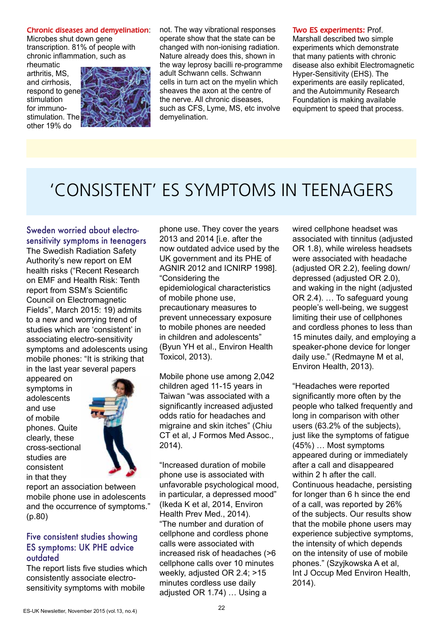#### Chronic diseases and demyelination:

Microbes shut down gene transcription. 81% of people with chronic inflammation, such as

rheumatic arthritis, MS, and cirrhosis, respond to gene stimulation for immunostimulation. The other 19% do



not. The way vibrational responses operate show that the state can be changed with non-ionising radiation. Nature already does this, shown in the way leprosy bacilli re-programme adult Schwann cells. Schwann cells in turn act on the myelin which sheaves the axon at the centre of the nerve. All chronic diseases, such as CFS, Lyme, MS, etc involve demyelination.

Two ES experiments: Prof.

Marshall described two simple experiments which demonstrate that many patients with chronic disease also exhibit Electromagnetic Hyper-Sensitivity (EHS). The experiments are easily replicated, and the Autoimmunity Research Foundation is making available equipment to speed that process.

# 'CONSISTENT' ES SYMPTOMS IN TEENAGERS

#### Sweden worried about electrosensitivity symptoms in teenagers

The Swedish Radiation Safety Authority's new report on EM health risks ("Recent Research on EMF and Health Risk: Tenth report from SSM's Scientific Council on Electromagnetic Fields", March 2015: 19) admits to a new and worrying trend of studies which are 'consistent' in associating electro-sensitivity symptoms and adolescents using mobile phones: "It is striking that in the last year several papers

appeared on symptoms in adolescents and use of mobile phones. Quite clearly, these cross-sectional studies are consistent in that they



report an association between mobile phone use in adolescents and the occurrence of symptoms." (p.80)

#### Five consistent studies showing ES symptoms: UK PHE advice outdated

The report lists five studies which consistently associate electrosensitivity symptoms with mobile

phone use. They cover the years 2013 and 2014 [i.e. after the now outdated advice used by the UK government and its PHE of AGNIR 2012 and ICNIRP 1998]. "Considering the epidemiological characteristics of mobile phone use, precautionary measures to prevent unnecessary exposure to mobile phones are needed in children and adolescents" (Byun YH et al., Environ Health Toxicol, 2013).

Mobile phone use among 2,042 children aged 11-15 years in Taiwan "was associated with a significantly increased adjusted odds ratio for headaches and migraine and skin itches" (Chiu CT et al, J Formos Med Assoc., 2014).

"Increased duration of mobile phone use is associated with unfavorable psychological mood, in particular, a depressed mood" (Ikeda K et al, 2014, Environ Health Prev Med., 2014). "The number and duration of cellphone and cordless phone calls were associated with increased risk of headaches (>6 cellphone calls over 10 minutes weekly, adjusted OR 2.4; >15 minutes cordless use daily adjusted OR 1.74) … Using a

wired cellphone headset was associated with tinnitus (adjusted OR 1.8), while wireless headsets were associated with headache (adjusted OR 2.2), feeling down/ depressed (adjusted OR 2.0), and waking in the night (adjusted OR 2.4). … To safeguard young people's well-being, we suggest limiting their use of cellphones and cordless phones to less than 15 minutes daily, and employing a speaker-phone device for longer daily use." (Redmayne M et al, Environ Health, 2013).

"Headaches were reported significantly more often by the people who talked frequently and long in comparison with other users (63.2% of the subjects), just like the symptoms of fatigue (45%) … Most symptoms appeared during or immediately after a call and disappeared within 2 h after the call. Continuous headache, persisting for longer than 6 h since the end of a call, was reported by 26% of the subjects. Our results show that the mobile phone users may experience subjective symptoms, the intensity of which depends on the intensity of use of mobile phones." (Szyjkowska A et al, Int J Occup Med Environ Health, 2014).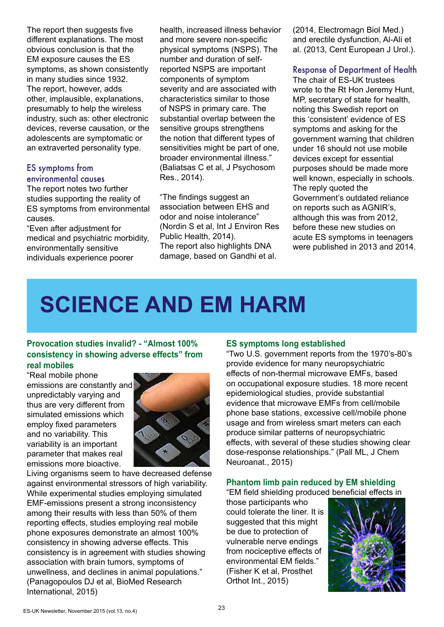The report then suggests five different explanations. The most obvious conclusion is that the EM exposure causes the ES symptoms, as shown consistently in many studies since 1932. The report, however, adds other, implausible, explanations, presumably to help the wireless industry, such as: other electronic devices, reverse causation, or the adolescents are symptomatic or an extraverted personality type.

#### ES symptoms from environmental causes

The report notes two further studies supporting the reality of ES symptoms from environmental causes.

"Even after adjustment for medical and psychiatric morbidity, environmentally sensitive individuals experience poorer

health, increased illness behavior and more severe non-specific physical symptoms (NSPS). The number and duration of selfreported NSPS are important components of symptom severity and are associated with characteristics similar to those of NSPS in primary care. The substantial overlap between the sensitive groups strengthens the notion that different types of sensitivities might be part of one, broader environmental illness." (Baliatsas C et al, J Psychosom Res., 2014).

"The findings suggest an association between EHS and odor and noise intolerance" (Nordin S et al, Int J Environ Res Public Health, 2014). The report also highlights DNA damage, based on Gandhi et al.

(2014, Electromagn Biol Med.) and erectile dysfunction, Al-Ali et al. (2013, Cent European J Urol.).

#### Response of Department of Health

The chair of ES-UK trustees wrote to the Rt Hon Jeremy Hunt, MP, secretary of state for health, noting this Swedish report on this 'consistent' evidence of ES symptoms and asking for the government warning that children under 16 should not use mobile devices except for essential purposes should be made more well known, especially in schools. The reply quoted the Government's outdated reliance on reports such as AGNIR's, although this was from 2012, before these new studies on acute ES symptoms in teenagers were published in 2013 and 2014.

# **SCIENCE AND EM HARM**

#### **Provocation studies invalid? - "Almost 100% consistency in showing adverse effects" from real mobiles**

"Real mobile phone emissions are constantly and unpredictably varying and thus are very different from simulated emissions which employ fixed parameters and no variability. This variability is an important parameter that makes real emissions more bioactive.



Living organisms seem to have decreased defense against environmental stressors of high variability. While experimental studies employing simulated EMF-emissions present a strong inconsistency among their results with less than 50% of them reporting effects, studies employing real mobile phone exposures demonstrate an almost 100% consistency in showing adverse effects. This consistency is in agreement with studies showing association with brain tumors, symptoms of unwellness, and declines in animal populations." (Panagopoulos DJ et al, BioMed Research International, 2015)

#### **ES symptoms long established**

"Two U.S. government reports from the 1970's-80's provide evidence for many neuropsychiatric effects of non-thermal microwave EMFs, based on occupational exposure studies. 18 more recent epidemiological studies, provide substantial evidence that microwave EMFs from cell/mobile phone base stations, excessive cell/mobile phone usage and from wireless smart meters can each produce similar patterns of neuropsychiatric effects, with several of these studies showing clear dose-response relationships." (Pall ML, J Chem Neuroanat., 2015)

#### **Phantom limb pain reduced by EM shielding**

"EM field shielding produced beneficial effects in

those participants who could tolerate the liner. It is suggested that this might be due to protection of vulnerable nerve endings from nociceptive effects of environmental EM fields." (Fisher K et al, Prosthet Orthot Int., 2015)

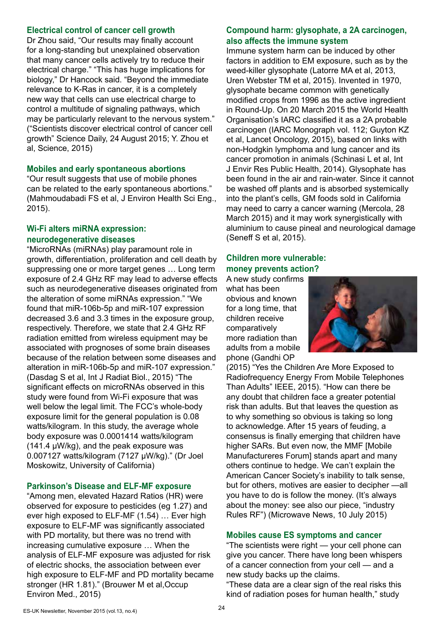#### **Electrical control of cancer cell growth**

Dr Zhou said, "Our results may finally account for a long-standing but unexplained observation that many cancer cells actively try to reduce their electrical charge." "This has huge implications for biology," Dr Hancock said. "Beyond the immediate relevance to K-Ras in cancer, it is a completely new way that cells can use electrical charge to control a multitude of signaling pathways, which may be particularly relevant to the nervous system." ("Scientists discover electrical control of cancer cell growth" Science Daily, 24 August 2015; Y. Zhou et al, Science, 2015)

#### **Mobiles and early spontaneous abortions**

"Our result suggests that use of mobile phones can be related to the early spontaneous abortions." (Mahmoudabadi FS et al, J Environ Health Sci Eng., 2015).

#### **Wi-Fi alters miRNA expression: neurodegenerative diseases**

"MicroRNAs (miRNAs) play paramount role in growth, differentiation, proliferation and cell death by suppressing one or more target genes … Long term exposure of 2.4 GHz RF may lead to adverse effects such as neurodegenerative diseases originated from the alteration of some miRNAs expression." "We found that miR-106b-5p and miR-107 expression decreased 3.6 and 3.3 times in the exposure group, respectively. Therefore, we state that 2.4 GHz RF radiation emitted from wireless equipment may be associated with prognoses of some brain diseases because of the relation between some diseases and alteration in miR-106b-5p and miR-107 expression." (Dasdag S et al, Int J Radiat Biol., 2015) "The significant effects on microRNAs observed in this study were found from Wi-Fi exposure that was well below the legal limit. The FCC's whole-body exposure limit for the general population is 0.08 watts/kilogram. In this study, the average whole body exposure was 0.0001414 watts/kilogram (141.4 μW/kg), and the peak exposure was 0.007127 watts/kilogram (7127 μW/kg)." (Dr Joel Moskowitz, University of California)

#### **Parkinson's Disease and ELF-MF exposure**

"Among men, elevated Hazard Ratios (HR) were observed for exposure to pesticides (eg 1.27) and ever high exposed to ELF-MF (1.54) … Ever high exposure to ELF-MF was significantly associated with PD mortality, but there was no trend with increasing cumulative exposure … When the analysis of ELF-MF exposure was adjusted for risk of electric shocks, the association between ever high exposure to ELF-MF and PD mortality became stronger (HR 1.81)." (Brouwer M et al,Occup Environ Med., 2015)

#### **Compound harm: glysophate, a 2A carcinogen, also affects the immune system**

Immune system harm can be induced by other factors in addition to EM exposure, such as by the weed-killer glysophate (Latorre MA et al, 2013, Uren Webster TM et al, 2015). Invented in 1970, glysophate became common with genetically modified crops from 1996 as the active ingredient in Round-Up. On 20 March 2015 the World Health Organisation's IARC classified it as a 2A probable carcinogen (IARC Monograph vol. 112; Guyton KZ et al, Lancet Oncology, 2015), based on links with non-Hodgkin lymphoma and lung cancer and its cancer promotion in animals (Schinasi L et al, Int J Envir Res Public Health, 2014). Glysophate has been found in the air and rain-water. Since it cannot be washed off plants and is absorbed systemically into the plant's cells, GM foods sold in California may need to carry a cancer warning (Mercola, 28 March 2015) and it may work synergistically with aluminium to cause pineal and neurological damage (Seneff S et al, 2015).

#### **Children more vulnerable: money prevents action?**

A new study confirms what has been obvious and known for a long time, that children receive comparatively more radiation than adults from a mobile phone (Gandhi OP



(2015) "Yes the Children Are More Exposed to Radiofrequency Energy From Mobile Telephones Than Adults" IEEE, 2015). "How can there be any doubt that children face a greater potential risk than adults. But that leaves the question as to why something so obvious is taking so long to acknowledge. After 15 years of feuding, a consensus is finally emerging that children have higher SARs. But even now, the MMF [Mobile Manufactureres Forum] stands apart and many others continue to hedge. We can't explain the American Cancer Society's inability to talk sense, but for others, motives are easier to decipher —all you have to do is follow the money. (It's always about the money: see also our piece, "industry Rules RF") (Microwave News, 10 July 2015)

#### **Mobiles cause ES symptoms and cancer**

"The scientists were right — your cell phone can give you cancer. There have long been whispers of a cancer connection from your cell — and a new study backs up the claims.

"These data are a clear sign of the real risks this kind of radiation poses for human health," study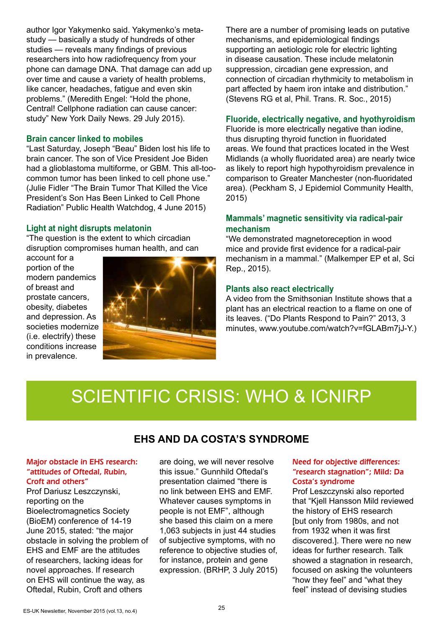author Igor Yakymenko said. Yakymenko's metastudy — basically a study of hundreds of other studies — reveals many findings of previous researchers into how radiofrequency from your phone can damage DNA. That damage can add up over time and cause a variety of health problems, like cancer, headaches, fatigue and even skin problems." (Meredith Engel: "Hold the phone, Central! Cellphone radiation can cause cancer: study" New York Daily News. 29 July 2015).

#### **Brain cancer linked to mobiles**

"Last Saturday, Joseph "Beau" Biden lost his life to brain cancer. The son of Vice President Joe Biden had a glioblastoma multiforme, or GBM. This all-toocommon tumor has been linked to cell phone use." (Julie Fidler "The Brain Tumor That Killed the Vice President's Son Has Been Linked to Cell Phone Radiation" Public Health Watchdog, 4 June 2015)

#### **Light at night disrupts melatonin**

"The question is the extent to which circadian disruption compromises human health, and can

account for a portion of the modern pandemics of breast and prostate cancers, obesity, diabetes and depression. As societies modernize (i.e. electrify) these conditions increase in prevalence.



There are a number of promising leads on putative mechanisms, and epidemiological findings supporting an aetiologic role for electric lighting in disease causation. These include melatonin suppression, circadian gene expression, and connection of circadian rhythmicity to metabolism in part affected by haem iron intake and distribution." (Stevens RG et al, Phil. Trans. R. Soc., 2015)

#### **Fluoride, electrically negative, and hyothyroidism**

Fluoride is more electrically negative than iodine, thus disrupting thyroid function in fluoridated areas. We found that practices located in the West Midlands (a wholly fluoridated area) are nearly twice as likely to report high hypothyroidism prevalence in comparison to Greater Manchester (non-fluoridated area). (Peckham S, J Epidemiol Community Health, 2015)

#### **Mammals' magnetic sensitivity via radical-pair mechanism**

"We demonstrated magnetoreception in wood mice and provide first evidence for a radical-pair mechanism in a mammal." (Malkemper EP et al, Sci Rep., 2015).

#### **Plants also react electrically**

A video from the Smithsonian Institute shows that a plant has an electrical reaction to a flame on one of its leaves. ("Do Plants Respond to Pain?" 2013, 3 minutes, www.youtube.com/watch?v=fGLABm7jJ-Y.)

# SCIENTIFIC CRISIS: WHO & ICNIRP

#### **EHS AND DA COSTA'S SYNDROME**

#### Major obstacle in EHS research: "attitudes of Oftedal, Rubin, Croft and others"

Prof Dariusz Leszczynski, reporting on the Bioelectromagnetics Society (BioEM) conference of 14-19 June 2015, stated: "the major obstacle in solving the problem of EHS and EMF are the attitudes of researchers, lacking ideas for novel approaches. If research on EHS will continue the way, as Oftedal, Rubin, Croft and others

are doing, we will never resolve this issue." Gunnhild Oftedal's presentation claimed "there is no link between EHS and EMF. Whatever causes symptoms in people is not EMF", although she based this claim on a mere 1,063 subjects in just 44 studies of subjective symptoms, with no reference to objective studies of, for instance, protein and gene expression. (BRHP, 3 July 2015)

#### Need for objective differences: "research stagnation"; Mild: Da Costa's syndrome

Prof Leszczynski also reported that "Kjell Hansson Mild reviewed the history of EHS research [but only from 1980s, and not from 1932 when it was first discovered.]. There were no new ideas for further research. Talk showed a stagnation in research, focused on asking the volunteers "how they feel" and "what they feel" instead of devising studies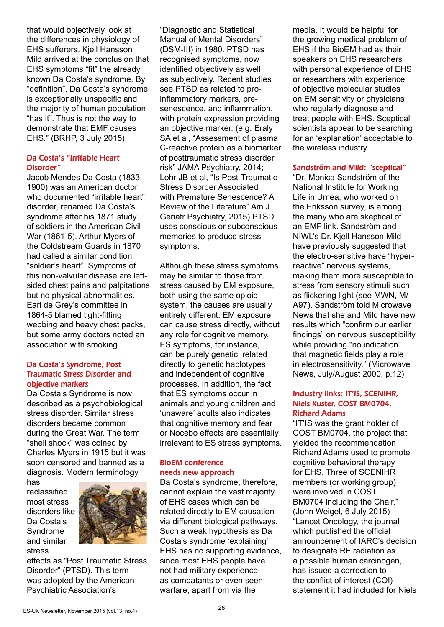that would objectively look at the differences in physiology of EHS sufferers. Kjell Hansson Mild arrived at the conclusion that EHS symptoms "fit" the already known Da Costa's syndrome. By "definition", Da Costa's syndrome is exceptionally unspecific and the majority of human population "has it". Thus is not the way to demonstrate that EMF causes EHS." (BRHP, 3 July 2015)

#### Da Costa's "Irritable Heart Disorder"

Jacob Mendes Da Costa (1833- 1900) was an American doctor who documented "irritable heart" disorder, renamed Da Costa's syndrome after his 1871 study of soldiers in the American Civil War (1861-5). Arthur Myers of the Coldstream Guards in 1870 had called a similar condition "soldier's heart". Symptoms of this non-valvular disease are leftsided chest pains and palpitations but no physical abnormalities. Earl de Grey's committee in 1864-5 blamed tight-fitting webbing and heavy chest packs, but some army doctors noted an association with smoking.

#### Da Costa's Syndrome, Post Traumatic Stress Disorder and objective markers

Da Costa's Syndrome is now described as a psychobiological stress disorder. Similar stress disorders became common during the Great War. The term "shell shock" was coined by Charles Myers in 1915 but it was soon censored and banned as a diagnosis. Modern terminology

has reclassified most stress disorders like Da Costa's Syndrome and similar stress



effects as "Post Traumatic Stress Disorder" (PTSD). This term was adopted by the American Psychiatric Association's

"Diagnostic and Statistical Manual of Mental Disorders" (DSM-III) in 1980. PTSD has recognised symptoms, now identified objectively as well as subjectively. Recent studies see PTSD as related to proinflammatory markers, presenescence, and inflammation, with protein expression providing an objective marker. (e.g. Eraly SA et al, "Assessment of plasma C-reactive protein as a biomarker of posttraumatic stress disorder risk" JAMA Psychiatry, 2014; Lohr JB et al, "Is Post-Traumatic Stress Disorder Associated with Premature Senescence? A Review of the Literature" Am J Geriatr Psychiatry, 2015) PTSD uses conscious or subconscious memories to produce stress symptoms.

Although these stress symptoms may be similar to those from stress caused by EM exposure, both using the same opioid system, the causes are usually entirely different. EM exposure can cause stress directly, without any role for cognitive memory. ES symptoms, for instance, can be purely genetic, related directly to genetic haplotypes and independent of cognitive processes. In addition, the fact that ES symptoms occur in animals and young children and 'unaware' adults also indicates that cognitive memory and fear or Nocebo effects are essentially irrelevant to ES stress symptoms.

#### BioEM conference needs new approach

Da Costa's syndrome, therefore, cannot explain the vast majority of EHS cases which can be related directly to EM causation via different biological pathways. Such a weak hypothesis as Da Costa's syndrome 'explaining' EHS has no supporting evidence, since most EHS people have not had military experience as combatants or even seen warfare, apart from via the

media. It would be helpful for the growing medical problem of EHS if the BioEM had as their speakers on EHS researchers with personal experience of EHS or researchers with experience of objective molecular studies on EM sensitivity or physicians who regularly diagnose and treat people with EHS. Sceptical scientists appear to be searching for an 'explanation' acceptable to the wireless industry.

#### Sandström and Mild: "sceptical"

"Dr. Monica Sandström of the National Institute for Working Life in Umeå, who worked on the Eriksson survey, is among the many who are skeptical of an EMF link. Sandström and NIWL's Dr. Kjell Hansson Mild have previously suggested that the electro-sensitive have "hyperreactive" nervous systems, making them more susceptible to stress from sensory stimuli such as flickering light (see MWN, M/ A97). Sandström told Microwave News that she and Mild have new results which "confirm our earlier findings" on nervous susceptibility while providing "no indication" that magnetic fields play a role in electrosensitivity." (Microwave News, July/August 2000, p.12)

#### Industry links: IT'IS, SCENIHR, Niels Kuster, COST BM0704, Richard Adams

"IT'IS was the grant holder of COST BM0704, the project that yielded the recommendation Richard Adams used to promote cognitive behavioral therapy for EHS. Three of SCENIHR members (or working group) were involved in COST BM0704 including the Chair." (John Weigel, 6 July 2015) "Lancet Oncology, the journal which published the official announcement of IARC's decision to designate RF radiation as a possible human carcinogen, has issued a correction to the conflict of interest (COI) statement it had included for Niels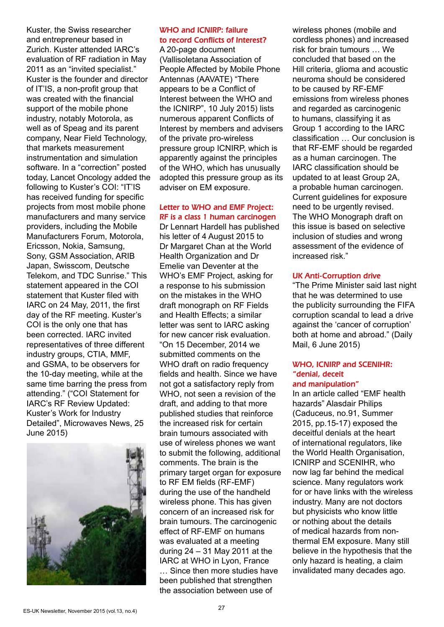Kuster, the Swiss researcher and entrepreneur based in Zurich. Kuster attended IARC's evaluation of RF radiation in May 2011 as an "invited specialist." Kuster is the founder and director of IT'IS, a non-profit group that was created with the financial support of the mobile phone industry, notably Motorola, as well as of Speag and its parent company, Near Field Technology, that markets measurement instrumentation and simulation software. In a "correction" posted today, Lancet Oncology added the following to Kuster's COI: "IT'IS has received funding for specific projects from most mobile phone manufacturers and many service providers, including the Mobile Manufacturers Forum, Motorola, Ericsson, Nokia, Samsung, Sony, GSM Association, ARIB Japan, Swisscom, Deutsche Telekom, and TDC Sunrise." This statement appeared in the COI statement that Kuster filed with IARC on 24 May, 2011, the first day of the RF meeting. Kuster's COI is the only one that has been corrected. IARC invited representatives of three different industry groups, CTIA, MMF, and GSMA, to be observers for the 10-day meeting, while at the same time barring the press from attending." ("COI Statement for IARC's RF Review Updated: Kuster's Work for Industry Detailed", Microwaves News, 25 June 2015)



### WHO and ICNIRP: failure to record Conflicts of Interest?

A 20-page document (Vallisoletana Association of People Affected by Mobile Phone Antennas (AAVATE) "There appears to be a Conflict of Interest between the WHO and the ICNIRP", 10 July 2015) lists numerous apparent Conflicts of Interest by members and advisers of the private pro-wireless pressure group ICNIRP, which is apparently against the principles of the WHO, which has unusually adopted this pressure group as its adviser on EM exposure.

#### Letter to WHO and EMF Project: RF is a class 1 human carcinogen

Dr Lennart Hardell has published his letter of 4 August 2015 to Dr Margaret Chan at the World Health Organization and Dr Emelie van Deventer at the WHO's EMF Project, asking for a response to his submission on the mistakes in the WHO draft monograph on RF Fields and Health Effects; a similar letter was sent to IARC asking for new cancer risk evaluation. "On 15 December, 2014 we submitted comments on the WHO draft on radio frequency fields and health. Since we have not got a satisfactory reply from WHO, not seen a revision of the draft, and adding to that more published studies that reinforce the increased risk for certain brain tumours associated with use of wireless phones we want to submit the following, additional comments. The brain is the primary target organ for exposure to RF EM fields (RF-EMF) during the use of the handheld wireless phone. This has given concern of an increased risk for brain tumours. The carcinogenic effect of RF-EMF on humans was evaluated at a meeting during 24 – 31 May 2011 at the IARC at WHO in Lyon, France … Since then more studies have been published that strengthen the association between use of

wireless phones (mobile and cordless phones) and increased risk for brain tumours … We concluded that based on the Hill criteria, glioma and acoustic neuroma should be considered to be caused by RF-EMF emissions from wireless phones and regarded as carcinogenic to humans, classifying it as Group 1 according to the IARC classification … Our conclusion is that RF-EMF should be regarded as a human carcinogen. The IARC classification should be updated to at least Group 2A, a probable human carcinogen. Current guidelines for exposure need to be urgently revised. The WHO Monograph draft on this issue is based on selective inclusion of studies and wrong assessment of the evidence of increased risk."

#### UK Anti-Corruption drive

"The Prime Minister said last night that he was determined to use the publicity surrounding the FIFA corruption scandal to lead a drive against the 'cancer of corruption' both at home and abroad." (Daily Mail, 6 June 2015)

#### WHO, ICNIRP and SCENIHR: "denial, deceit and manipulation"

In an article called "EMF health hazards" Alasdair Philips (Caduceus, no.91, Summer 2015, pp.15-17) exposed the deceitful denials at the heart of international regulators, like the World Health Organisation, ICNIRP and SCENIHR, who now lag far behind the medical science. Many regulators work for or have links with the wireless industry. Many are not doctors but physicists who know little or nothing about the details of medical hazards from nonthermal EM exposure. Many still believe in the hypothesis that the only hazard is heating, a claim invalidated many decades ago.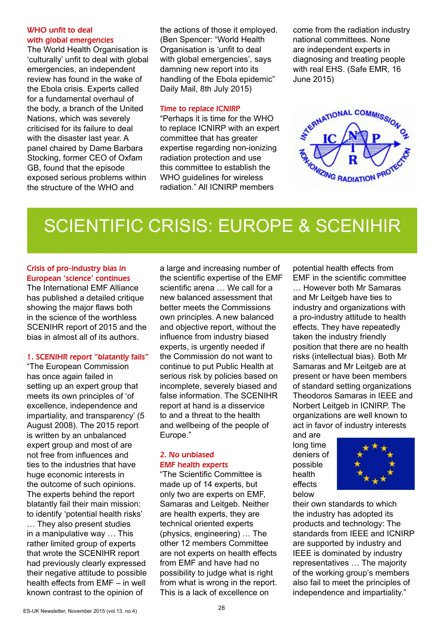#### WHO unfit to deal with global emergencies

The World Health Organisation is 'culturally' unfit to deal with global emergencies, an independent review has found in the wake of the Ebola crisis. Experts called for a fundamental overhaul of the body, a branch of the United Nations, which was severely criticised for its failure to deal with the disaster last year. A panel chaired by Dame Barbara Stocking, former CEO of Oxfam GB, found that the episode exposed serious problems within the structure of the WHO and

the actions of those it employed. (Ben Spencer: "World Health Organisation is 'unfit to deal with global emergencies', says damning new report into its handling of the Ebola epidemic" Daily Mail, 8th July 2015)

#### Time to replace ICNIRP

"Perhaps it is time for the WHO to replace ICNIRP with an expert committee that has greater expertise regarding non-ionizing radiation protection and use this committee to establish the WHO quidelines for wireless radiation." All ICNIRP members

come from the radiation industry national committees. None are independent experts in diagnosing and treating people with real EHS. (Safe EMR, 16 June 2015)



# SCIENTIFIC CRISIS: EUROPE & SCENIHIR

#### Crisis of pro-industry bias in European 'science' continues

The International EMF Alliance has published a detailed critique showing the major flaws both in the science of the worthless SCENIHR report of 2015 and the bias in almost all of its authors.

#### 1. SCENIHR report "blatantly fails"

"The European Commission has once again failed in setting up an expert group that meets its own principles of 'of excellence, independence and impartiality, and transparency' (5 August 2008). The 2015 report is written by an unbalanced expert group and most of are not free from influences and ties to the industries that have huge economic interests in the outcome of such opinions. The experts behind the report blatantly fail their main mission: to identify 'potential health risks' … They also present studies in a manipulative way … This rather limited group of experts that wrote the SCENIHR report had previously clearly expressed their negative attitude to possible health effects from EMF – in well known contrast to the opinion of

a large and increasing number of the scientific expertise of the EMF scientific arena … We call for a new balanced assessment that better meets the Commissions own principles. A new balanced and objective report, without the influence from industry biased experts, is urgently needed if the Commission do not want to continue to put Public Health at serious risk by policies based on incomplete, severely biased and false information. The SCENIHR report at hand is a disservice to and a threat to the health and wellbeing of the people of Europe."

#### 2. No unbiased EMF health experts

"The Scientific Committee is made up of 14 experts, but only two are experts on EMF, Samaras and Leitgeb. Neither are health experts, they are technical oriented experts (physics, engineering) … The other 12 members Committee are not experts on health effects from EMF and have had no possibility to judge what is right from what is wrong in the report. This is a lack of excellence on

potential health effects from EMF in the scientific committee … However both Mr Samaras and Mr Leitgeb have ties to industry and organizations with a pro-industry attitude to health effects. They have repeatedly taken the industry friendly position that there are no health risks (intellectual bias). Both Mr Samaras and Mr Leitgeb are at present or have been members of standard setting organizations Theodoros Samaras in IEEE and Norbert Leitgeb in ICNIRP. The organizations are well known to act in favor of industry interests

and are long time deniers of possible health effects below



their own standards to which the industry has adopted its products and technology: The standards from IEEE and ICNIRP are supported by industry and IEEE is dominated by industry representatives … The majority of the working group's members also fail to meet the principles of independence and impartiality."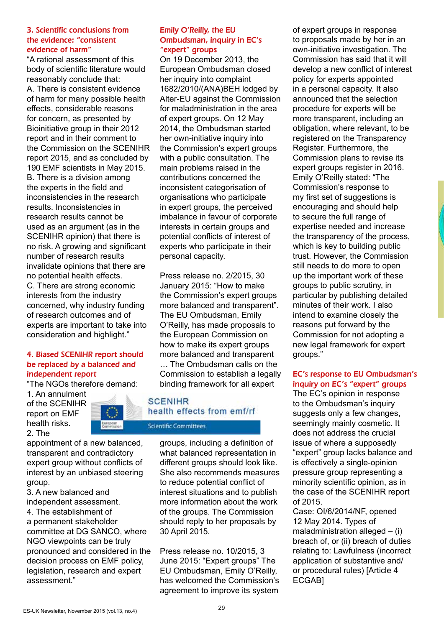#### 3. Scientific conclusions from the evidence: "consistent evidence of harm"

"A rational assessment of this body of scientific literature would reasonably conclude that: A. There is consistent evidence of harm for many possible health effects, considerable reasons for concern, as presented by Bioinitiative group in their 2012 report and in their comment to the Commission on the SCENIHR report 2015, and as concluded by 190 EMF scientists in May 2015. B. There is a division among the experts in the field and inconsistencies in the research results. Inconsistencies in research results cannot be used as an argument (as in the SCENIHR opinion) that there is no risk. A growing and significant number of research results invalidate opinions that there are no potential health effects. C. There are strong economic interests from the industry concerned, why industry funding of research outcomes and of experts are important to take into consideration and highlight."

#### 4. Biased SCENIHR report should be replaced by a balanced and independent report

"The NGOs therefore demand:

1. An annulment of the SCENIHR report on EMF health risks. 2. The



appointment of a new balanced, transparent and contradictory expert group without conflicts of interest by an unbiased steering group.

3. A new balanced and independent assessment.

4. The establishment of a permanent stakeholder committee at DG SANCO, where NGO viewpoints can be truly pronounced and considered in the decision process on EMF policy, legislation, research and expert assessment."

#### Emily O'Reilly, the EU Ombudsman, inquiry in EC's "expert" groups

On 19 December 2013, the European Ombudsman closed her inquiry into complaint 1682/2010/(ANA)BEH lodged by Alter-EU against the Commission for maladministration in the area of expert groups. On 12 May 2014, the Ombudsman started her own-initiative inquiry into the Commission's expert groups with a public consultation. The main problems raised in the contributions concerned the inconsistent categorisation of organisations who participate in expert groups, the perceived imbalance in favour of corporate interests in certain groups and potential conflicts of interest of experts who participate in their personal capacity.

Press release no. 2/2015, 30 January 2015: "How to make the Commission's expert groups more balanced and transparent". The EU Ombudsman, Emily O'Reilly, has made proposals to the European Commission on how to make its expert groups more balanced and transparent

… The Ombudsman calls on the Commission to establish a legally binding framework for all expert

### **SCENIHR** health effects from emf/rf

**Scientific Committees** 

groups, including a definition of what balanced representation in different groups should look like. She also recommends measures to reduce potential conflict of interest situations and to publish more information about the work of the groups. The Commission should reply to her proposals by 30 April 2015.

Press release no. 10/2015, 3 June 2015: "Expert groups" The EU Ombudsman, Emily O'Reilly, has welcomed the Commission's agreement to improve its system

of expert groups in response to proposals made by her in an own-initiative investigation. The Commission has said that it will develop a new conflict of interest policy for experts appointed in a personal capacity. It also announced that the selection procedure for experts will be more transparent, including an obligation, where relevant, to be registered on the Transparency Register. Furthermore, the Commission plans to revise its expert groups register in 2016. Emily O'Reilly stated: "The Commission's response to my first set of suggestions is encouraging and should help to secure the full range of expertise needed and increase the transparency of the process, which is key to building public trust. However, the Commission still needs to do more to open up the important work of these groups to public scrutiny, in particular by publishing detailed minutes of their work. I also intend to examine closely the reasons put forward by the Commission for not adopting a new legal framework for expert groups."

#### EC's response to EU Ombudsman's inquiry on EC's "expert" groups

The EC's opinion in response to the Ombudsman's inquiry suggests only a few changes. seemingly mainly cosmetic. It does not address the crucial issue of where a supposedly "expert" group lacks balance and is effectively a single-opinion pressure group representing a minority scientific opinion, as in the case of the SCENIHR report of 2015.

Case: OI/6/2014/NF, opened 12 May 2014. Types of maladministration alleged  $-$  (i) breach of, or (ii) breach of duties relating to: Lawfulness (incorrect application of substantive and/ or procedural rules) [Article 4 ECGAB]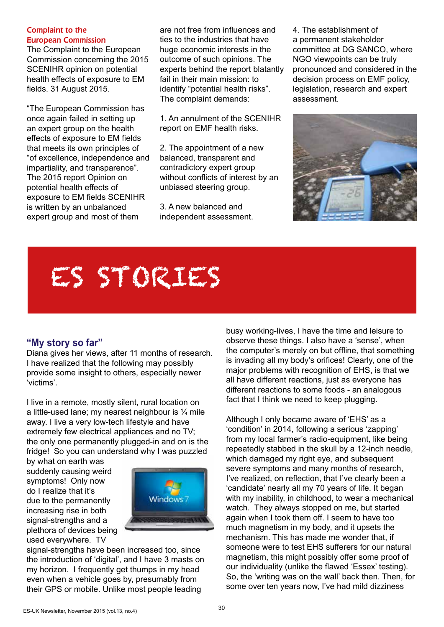#### Complaint to the European Commission

The Complaint to the European Commission concerning the 2015 SCENIHR opinion on potential health effects of exposure to EM fields. 31 August 2015.

"The European Commission has once again failed in setting up an expert group on the health effects of exposure to EM fields that meets its own principles of "of excellence, independence and impartiality, and transparence". The 2015 report Opinion on potential health effects of exposure to EM fields SCENIHR is written by an unbalanced expert group and most of them

are not free from influences and ties to the industries that have huge economic interests in the outcome of such opinions. The experts behind the report blatantly fail in their main mission: to identify "potential health risks". The complaint demands:

1. An annulment of the SCENIHR report on EMF health risks.

2. The appointment of a new balanced, transparent and contradictory expert group without conflicts of interest by an unbiased steering group.

3. A new balanced and independent assessment. 4. The establishment of a permanent stakeholder committee at DG SANCO, where NGO viewpoints can be truly pronounced and considered in the decision process on EMF policy, legislation, research and expert assessment.



# ES STORIES

### **"My story so far"**

Diana gives her views, after 11 months of research. I have realized that the following may possibly provide some insight to others, especially newer 'victims'.

I live in a remote, mostly silent, rural location on a little-used lane; my nearest neighbour is  $\frac{1}{4}$  mile away. I live a very low-tech lifestyle and have extremely few electrical appliances and no TV; the only one permanently plugged-in and on is the fridge! So you can understand why I was puzzled

by what on earth was suddenly causing weird symptoms! Only now do I realize that it's due to the permanently increasing rise in both signal-strengths and a plethora of devices being used everywhere. TV



signal-strengths have been increased too, since the introduction of 'digital', and I have 3 masts on my horizon. I frequently get thumps in my head even when a vehicle goes by, presumably from their GPS or mobile. Unlike most people leading

busy working-lives, I have the time and leisure to observe these things. I also have a 'sense', when the computer's merely on but offline, that something is invading all my body's orifices! Clearly, one of the major problems with recognition of EHS, is that we all have different reactions, just as everyone has different reactions to some foods - an analogous fact that I think we need to keep plugging.

Although I only became aware of 'EHS' as a 'condition' in 2014, following a serious 'zapping' from my local farmer's radio-equipment, like being repeatedly stabbed in the skull by a 12-inch needle, which damaged my right eye, and subsequent severe symptoms and many months of research, I've realized, on reflection, that I've clearly been a 'candidate' nearly all my 70 years of life. It began with my inability, in childhood, to wear a mechanical watch. They always stopped on me, but started again when I took them off. I seem to have too much magnetism in my body, and it upsets the mechanism. This has made me wonder that, if someone were to test EHS sufferers for our natural magnetism, this might possibly offer some proof of our individuality (unlike the flawed 'Essex' testing). So, the 'writing was on the wall' back then. Then, for some over ten years now, I've had mild dizziness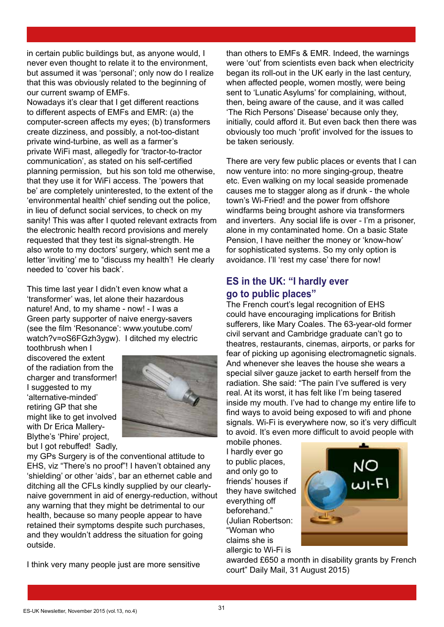in certain public buildings but, as anyone would, I never even thought to relate it to the environment, but assumed it was 'personal'; only now do I realize that this was obviously related to the beginning of our current swamp of EMFs.

Nowadays it's clear that I get different reactions to different aspects of EMFs and EMR: (a) the computer-screen affects my eyes; (b) transformers create dizziness, and possibly, a not-too-distant private wind-turbine, as well as a farmer's private WiFi mast, allegedly for 'tractor-to-tractor communication', as stated on his self-certified planning permission, but his son told me otherwise, that they use it for WiFi access. The 'powers that be' are completely uninterested, to the extent of the 'environmental health' chief sending out the police, in lieu of defunct social services, to check on my sanity! This was after I quoted relevant extracts from the electronic health record provisions and merely requested that they test its signal-strength. He also wrote to my doctors' surgery, which sent me a letter 'inviting' me to "discuss my health'! He clearly needed to 'cover his back'.

This time last year I didn't even know what a 'transformer' was, let alone their hazardous nature! And, to my shame - now! - I was a Green party supporter of naive energy-savers (see the film 'Resonance': www.youtube.com/ watch?v=oS6FGzh3ygw). I ditched my electric

toothbrush when I discovered the extent of the radiation from the charger and transformer! I suggested to my 'alternative-minded' retiring GP that she might like to get involved with Dr Erica Mallery-Blythe's 'Phire' project, but I got rebuffed! Sadly,



my GPs Surgery is of the conventional attitude to EHS, viz "There's no proof"! I haven't obtained any 'shielding' or other 'aids', bar an ethernet cable and ditching all the CFLs kindly supplied by our clearlynaive government in aid of energy-reduction, without any warning that they might be detrimental to our health, because so many people appear to have retained their symptoms despite such purchases, and they wouldn't address the situation for going outside.

I think very many people just are more sensitive

than others to EMFs & EMR. Indeed, the warnings were 'out' from scientists even back when electricity began its roll-out in the UK early in the last century, when affected people, women mostly, were being sent to 'Lunatic Asylums' for complaining, without, then, being aware of the cause, and it was called 'The Rich Persons' Disease' because only they, initially, could afford it. But even back then there was obviously too much 'profit' involved for the issues to be taken seriously.

There are very few public places or events that I can now venture into: no more singing-group, theatre etc. Even walking on my local seaside promenade causes me to stagger along as if drunk - the whole town's Wi-Fried! and the power from offshore windfarms being brought ashore via transformers and inverters. Any social life is over - I'm a prisoner, alone in my contaminated home. On a basic State Pension, I have neither the money or 'know-how' for sophisticated systems. So my only option is avoidance. I'll 'rest my case' there for now!

### **ES in the UK: "I hardly ever go to public places"**

The French court's legal recognition of EHS could have encouraging implications for British sufferers, like Mary Coales. The 63-year-old former civil servant and Cambridge graduate can't go to theatres, restaurants, cinemas, airports, or parks for fear of picking up agonising electromagnetic signals. And whenever she leaves the house she wears a special silver gauze jacket to earth herself from the radiation. She said: "The pain I've suffered is very real. At its worst, it has felt like I'm being tasered inside my mouth. I've had to change my entire life to find ways to avoid being exposed to wifi and phone signals. Wi-Fi is everywhere now, so it's very difficult to avoid. It's even more difficult to avoid people with

mobile phones. I hardly ever go to public places, and only go to friends' houses if they have switched everything off beforehand." (Julian Robertson: "Woman who claims she is allergic to Wi-Fi is



awarded £650 a month in disability grants by French court" Daily Mail, 31 August 2015)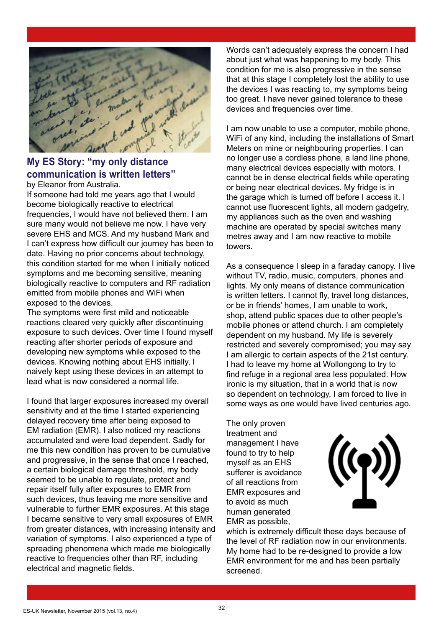

### **My ES Story: "my only distance communication is written letters"**

by Eleanor from Australia.

If someone had told me years ago that I would become biologically reactive to electrical frequencies, I would have not believed them. I am sure many would not believe me now. I have very severe EHS and MCS. And my husband Mark and I can't express how difficult our journey has been to date. Having no prior concerns about technology, this condition started for me when I initially noticed symptoms and me becoming sensitive, meaning biologically reactive to computers and RF radiation emitted from mobile phones and WiFi when exposed to the devices.

The symptoms were first mild and noticeable reactions cleared very quickly after discontinuing exposure to such devices. Over time I found myself reacting after shorter periods of exposure and developing new symptoms while exposed to the devices. Knowing nothing about EHS initially, I naively kept using these devices in an attempt to lead what is now considered a normal life.

I found that larger exposures increased my overall sensitivity and at the time I started experiencing delayed recovery time after being exposed to EM radiation (EMR). I also noticed my reactions accumulated and were load dependent. Sadly for me this new condition has proven to be cumulative and progressive, in the sense that once I reached, a certain biological damage threshold, my body seemed to be unable to regulate, protect and repair itself fully after exposures to EMR from such devices, thus leaving me more sensitive and vulnerable to further EMR exposures. At this stage I became sensitive to very small exposures of EMR from greater distances, with increasing intensity and variation of symptoms. I also experienced a type of spreading phenomena which made me biologically reactive to frequencies other than RF, including electrical and magnetic fields.

Words can't adequately express the concern I had about just what was happening to my body. This condition for me is also progressive in the sense that at this stage I completely lost the ability to use the devices I was reacting to, my symptoms being too great. I have never gained tolerance to these devices and frequencies over time.

I am now unable to use a computer, mobile phone, WiFi of any kind, including the installations of Smart Meters on mine or neighbouring properties. I can no longer use a cordless phone, a land line phone, many electrical devices especially with motors. I cannot be in dense electrical fields while operating or being near electrical devices. My fridge is in the garage which is turned off before I access it. I cannot use fluorescent lights, all modern gadgetry, my appliances such as the oven and washing machine are operated by special switches many metres away and I am now reactive to mobile towers.

As a consequence I sleep in a faraday canopy. I live without TV, radio, music, computers, phones and lights. My only means of distance communication is written letters. I cannot fly, travel long distances, or be in friends' homes, I am unable to work, shop, attend public spaces due to other people's mobile phones or attend church. I am completely dependent on my husband. My life is severely restricted and severely compromised; you may say I am allergic to certain aspects of the 21st century. I had to leave my home at Wollongong to try to find refuge in a regional area less populated. How ironic is my situation, that in a world that is now so dependent on technology, I am forced to live in some ways as one would have lived centuries ago.

The only proven treatment and management I have found to try to help myself as an EHS sufferer is avoidance of all reactions from EMR exposures and to avoid as much human generated EMR as possible,



which is extremely difficult these days because of the level of RF radiation now in our environments. My home had to be re-designed to provide a low EMR environment for me and has been partially screened.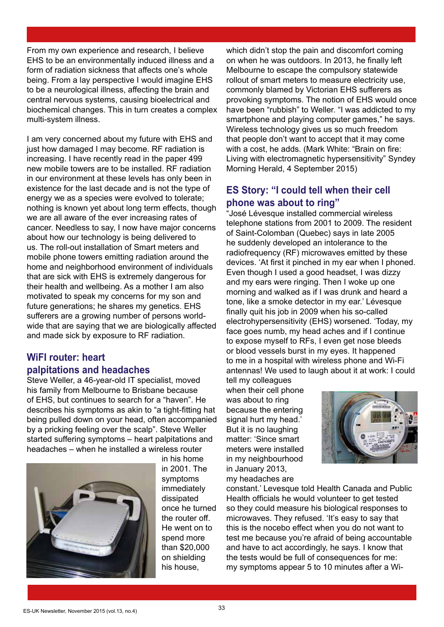From my own experience and research, I believe EHS to be an environmentally induced illness and a form of radiation sickness that affects one's whole being. From a lay perspective I would imagine EHS to be a neurological illness, affecting the brain and central nervous systems, causing bioelectrical and biochemical changes. This in turn creates a complex multi-system illness.

I am very concerned about my future with EHS and just how damaged I may become. RF radiation is increasing. I have recently read in the paper 499 new mobile towers are to be installed. RF radiation in our environment at these levels has only been in existence for the last decade and is not the type of energy we as a species were evolved to tolerate; nothing is known yet about long term effects, though we are all aware of the ever increasing rates of cancer. Needless to say, I now have major concerns about how our technology is being delivered to us. The roll-out installation of Smart meters and mobile phone towers emitting radiation around the home and neighborhood environment of individuals that are sick with EHS is extremely dangerous for their health and wellbeing. As a mother I am also motivated to speak my concerns for my son and future generations; he shares my genetics. EHS sufferers are a growing number of persons worldwide that are saying that we are biologically affected and made sick by exposure to RF radiation.

## **WiFI router: heart**

#### **palpitations and headaches**

Steve Weller, a 46-year-old IT specialist, moved his family from Melbourne to Brisbane because of EHS, but continues to search for a "haven". He describes his symptoms as akin to "a tight-fitting hat being pulled down on your head, often accompanied by a pricking feeling over the scalp". Steve Weller started suffering symptoms – heart palpitations and headaches – when he installed a wireless router



in his home in 2001. The symptoms immediately dissipated once he turned the router off. He went on to spend more than \$20,000 on shielding his house,

which didn't stop the pain and discomfort coming on when he was outdoors. In 2013, he finally left Melbourne to escape the compulsory statewide rollout of smart meters to measure electricity use, commonly blamed by Victorian EHS sufferers as provoking symptoms. The notion of EHS would once have been "rubbish" to Weller. "I was addicted to my smartphone and playing computer games," he says. Wireless technology gives us so much freedom that people don't want to accept that it may come with a cost, he adds. (Mark White: "Brain on fire: Living with electromagnetic hypersensitivity" Syndey Morning Herald, 4 September 2015)

#### **ES Story: "I could tell when their cell phone was about to ring"**

"José Lévesque installed commercial wireless telephone stations from 2001 to 2009. The resident of Saint-Colomban (Quebec) says in late 2005 he suddenly developed an intolerance to the radiofrequency (RF) microwaves emitted by these devices. 'At first it pinched in my ear when I phoned. Even though I used a good headset, I was dizzy and my ears were ringing. Then I woke up one morning and walked as if I was drunk and heard a tone, like a smoke detector in my ear.' Lévesque finally quit his job in 2009 when his so-called electrohypersensitivity (EHS) worsened. 'Today, my face goes numb, my head aches and if I continue to expose myself to RFs, I even get nose bleeds or blood vessels burst in my eyes. It happened to me in a hospital with wireless phone and Wi-Fi antennas! We used to laugh about it at work: I could

tell my colleagues when their cell phone was about to ring because the entering signal hurt my head.' But it is no laughing matter: 'Since smart meters were installed in my neighbourhood in January 2013, my headaches are



constant.' Levesque told Health Canada and Public Health officials he would volunteer to get tested so they could measure his biological responses to microwaves. They refused. 'It's easy to say that this is the nocebo effect when you do not want to test me because you're afraid of being accountable and have to act accordingly, he says. I know that the tests would be full of consequences for me: my symptoms appear 5 to 10 minutes after a Wi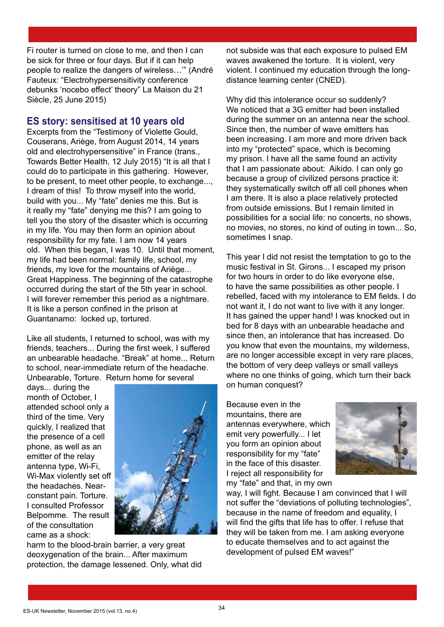Fi router is turned on close to me, and then I can be sick for three or four days. But if it can help people to realize the dangers of wireless…'" (André Fauteux: "Electrohypersensitivity conference debunks 'nocebo effect' theory" La Maison du 21 Siècle, 25 June 2015)

#### **ES story: sensitised at 10 years old**

Excerpts from the "Testimony of Violette Gould, Couserans, Ariège, from August 2014, 14 years old and electrohypersensitive" in France (trans., Towards Better Health, 12 July 2015) "It is all that I could do to participate in this gathering. However, to be present, to meet other people, to exchange..., I dream of this! To throw myself into the world, build with you... My "fate" denies me this. But is it really my "fate" denying me this? I am going to tell you the story of the disaster which is occurring in my life. You may then form an opinion about responsibility for my fate. I am now 14 years old. When this began, I was 10. Until that moment, my life had been normal: family life, school, my friends, my love for the mountains of Ariège... Great Happiness. The beginning of the catastrophe occurred during the start of the 5th year in school. I will forever remember this period as a nightmare. It is like a person confined in the prison at Guantanamo: locked up, tortured.

Like all students, I returned to school, was with my friends, teachers... During the first week, I suffered an unbearable headache. "Break" at home... Return to school, near-immediate return of the headache. Unbearable, Torture. Return home for several

days... during the month of October, I attended school only a third of the time. Very quickly, I realized that the presence of a cell phone, as well as an emitter of the relay antenna type, Wi-Fi, Wi-Max violently set off the headaches. Nearconstant pain. Torture. I consulted Professor Belpomme. The result of the consultation came as a shock:



harm to the blood-brain barrier, a very great deoxygenation of the brain... After maximum protection, the damage lessened. Only, what did not subside was that each exposure to pulsed EM waves awakened the torture. It is violent, very violent. I continued my education through the longdistance learning center (CNED).

Why did this intolerance occur so suddenly? We noticed that a 3G emitter had been installed during the summer on an antenna near the school. Since then, the number of wave emitters has been increasing. I am more and more driven back into my "protected" space, which is becoming my prison. I have all the same found an activity that I am passionate about: Aikido. I can only go because a group of civilized persons practice it: they systematically switch off all cell phones when I am there. It is also a place relatively protected from outside emissions. But I remain limited in possibilities for a social life: no concerts, no shows, no movies, no stores, no kind of outing in town... So, sometimes I snap.

This year I did not resist the temptation to go to the music festival in St. Girons... I escaped my prison for two hours in order to do like everyone else, to have the same possibilities as other people. I rebelled, faced with my intolerance to EM fields. I do not want it, I do not want to live with it any longer. It has gained the upper hand! I was knocked out in bed for 8 days with an unbearable headache and since then, an intolerance that has increased. Do you know that even the mountains, my wilderness, are no longer accessible except in very rare places, the bottom of very deep valleys or small valleys where no one thinks of going, which turn their back on human conquest?

Because even in the mountains, there are antennas everywhere, which emit very powerfully... I let you form an opinion about responsibility for my "fate" in the face of this disaster. I reject all responsibility for my "fate" and that, in my own



way, I will fight. Because I am convinced that I will not suffer the "deviations of polluting technologies", because in the name of freedom and equality, I will find the gifts that life has to offer. I refuse that they will be taken from me. I am asking everyone to educate themselves and to act against the development of pulsed EM waves!"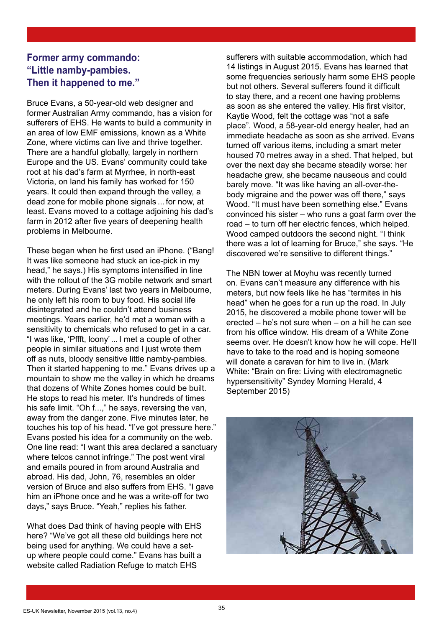### **Former army commando: "Little namby-pambies. Then it happened to me."**

Bruce Evans, a 50-year-old web designer and former Australian Army commando, has a vision for sufferers of EHS. He wants to build a community in an area of low EMF emissions, known as a White Zone, where victims can live and thrive together. There are a handful globally, largely in northern Europe and the US. Evans' community could take root at his dad's farm at Myrrhee, in north-east Victoria, on land his family has worked for 150 years. It could then expand through the valley, a dead zone for mobile phone signals ... for now, at least. Evans moved to a cottage adjoining his dad's farm in 2012 after five years of deepening health problems in Melbourne.

These began when he first used an iPhone. ("Bang! It was like someone had stuck an ice-pick in my head," he says.) His symptoms intensified in line with the rollout of the 3G mobile network and smart meters. During Evans' last two years in Melbourne, he only left his room to buy food. His social life disintegrated and he couldn't attend business meetings. Years earlier, he'd met a woman with a sensitivity to chemicals who refused to get in a car. "I was like, 'Pffft, loony'... I met a couple of other people in similar situations and I just wrote them off as nuts, bloody sensitive little namby-pambies. Then it started happening to me." Evans drives up a mountain to show me the valley in which he dreams that dozens of White Zones homes could be built. He stops to read his meter. It's hundreds of times his safe limit. "Oh f...," he says, reversing the van, away from the danger zone. Five minutes later, he touches his top of his head. "I've got pressure here." Evans posted his idea for a community on the web. One line read: "I want this area declared a sanctuary where telcos cannot infringe." The post went viral and emails poured in from around Australia and abroad. His dad, John, 76, resembles an older version of Bruce and also suffers from EHS. "I gave him an iPhone once and he was a write-off for two days," says Bruce. "Yeah," replies his father.

What does Dad think of having people with EHS here? "We've got all these old buildings here not being used for anything. We could have a setup where people could come." Evans has built a website called Radiation Refuge to match EHS

sufferers with suitable accommodation, which had 14 listings in August 2015. Evans has learned that some frequencies seriously harm some EHS people but not others. Several sufferers found it difficult to stay there, and a recent one having problems as soon as she entered the valley. His first visitor, Kaytie Wood, felt the cottage was "not a safe place". Wood, a 58-year-old energy healer, had an immediate headache as soon as she arrived. Evans turned off various items, including a smart meter housed 70 metres away in a shed. That helped, but over the next day she became steadily worse: her headache grew, she became nauseous and could barely move. "It was like having an all-over-thebody migraine and the power was off there," says Wood. "It must have been something else." Evans convinced his sister – who runs a goat farm over the road – to turn off her electric fences, which helped. Wood camped outdoors the second night. "I think there was a lot of learning for Bruce," she says. "He discovered we're sensitive to different things."

The NBN tower at Moyhu was recently turned on. Evans can't measure any difference with his meters, but now feels like he has "termites in his head" when he goes for a run up the road. In July 2015, he discovered a mobile phone tower will be erected – he's not sure when – on a hill he can see from his office window. His dream of a White Zone seems over. He doesn't know how he will cope. He'll have to take to the road and is hoping someone will donate a caravan for him to live in. (Mark White: "Brain on fire: Living with electromagnetic hypersensitivity" Syndey Morning Herald, 4 September 2015)